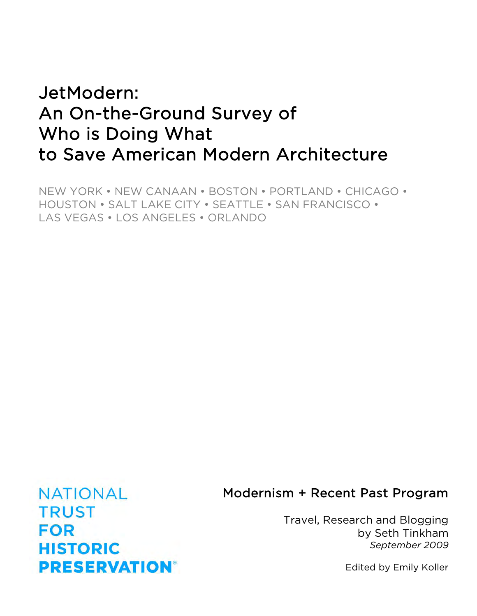# JetModern: An On-the-Ground Survey of Who is Doing What to Save American Modern Architecture

NEW YORK • NEW CANAAN • BOSTON • PORTLAND • CHICAGO • HOUSTON • SALT LAKE CITY • SEATTLE • SAN FRANCISCO • LAS VEGAS • LOS ANGELES • ORLANDO

## Modernism + Recent Past Program

Travel, Research and Blogging by Seth Tinkham *September 2009*

Edited by Emily Koller

**NATIONAL TRUST FOR HISTORIC PRESERVATION®**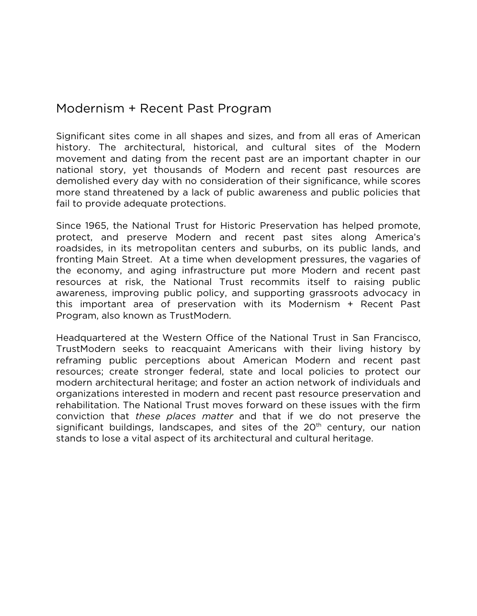## Modernism + Recent Past Program

Significant sites come in all shapes and sizes, and from all eras of American history. The architectural, historical, and cultural sites of the Modern movement and dating from the recent past are an important chapter in our national story, yet thousands of Modern and recent past resources are demolished every day with no consideration of their significance, while scores more stand threatened by a lack of public awareness and public policies that fail to provide adequate protections.

Since 1965, the National Trust for Historic Preservation has helped promote, protect, and preserve Modern and recent past sites along America's roadsides, in its metropolitan centers and suburbs, on its public lands, and fronting Main Street. At a time when development pressures, the vagaries of the economy, and aging infrastructure put more Modern and recent past resources at risk, the National Trust recommits itself to raising public awareness, improving public policy, and supporting grassroots advocacy in this important area of preservation with its Modernism + Recent Past Program, also known as TrustModern.

Headquartered at the Western Office of the National Trust in San Francisco, TrustModern seeks to reacquaint Americans with their living history by reframing public perceptions about American Modern and recent past resources; create stronger federal, state and local policies to protect our modern architectural heritage; and foster an action network of individuals and organizations interested in modern and recent past resource preservation and rehabilitation. The National Trust moves forward on these issues with the firm conviction that *these places matter* and that if we do not preserve the significant buildings, landscapes, and sites of the  $20<sup>th</sup>$  century, our nation stands to lose a vital aspect of its architectural and cultural heritage.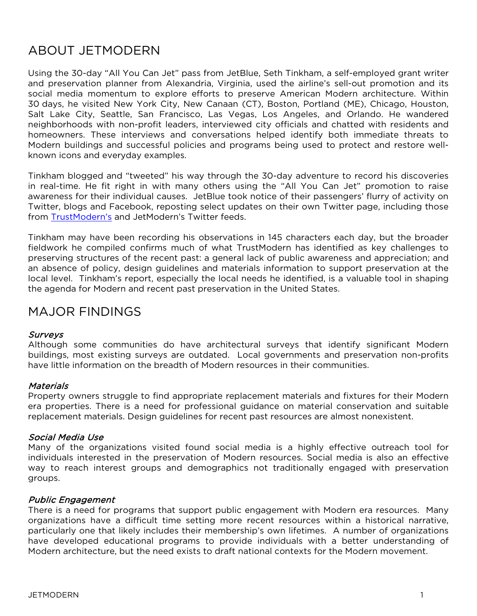## ABOUT JETMODERN

Using the 30-day "All You Can Jet" pass from JetBlue, Seth Tinkham, a self-employed grant writer and preservation planner from Alexandria, Virginia, used the airline's sell-out promotion and its social media momentum to explore efforts to preserve American Modern architecture. Within 30 days, he visited New York City, New Canaan (CT), Boston, Portland (ME), Chicago, Houston, Salt Lake City, Seattle, San Francisco, Las Vegas, Los Angeles, and Orlando. He wandered neighborhoods with non-profit leaders, interviewed city officials and chatted with residents and homeowners. These interviews and conversations helped identify both immediate threats to Modern buildings and successful policies and programs being used to protect and restore wellknown icons and everyday examples.

Tinkham blogged and "tweeted" his way through the 30-day adventure to record his discoveries in real-time. He fit right in with many others using the "All You Can Jet" promotion to raise awareness for their individual causes. JetBlue took notice of their passengers' flurry of activity on Twitter, blogs and Facebook, reposting select updates on their own Twitter page, including those from [TrustModern's](http://twitter.com/trustmodern) and JetModern's Twitter feeds.

Tinkham may have been recording his observations in 145 characters each day, but the broader fieldwork he compiled confirms much of what TrustModern has identified as key challenges to preserving structures of the recent past: a general lack of public awareness and appreciation; and an absence of policy, design guidelines and materials information to support preservation at the local level. Tinkham's report, especially the local needs he identified, is a valuable tool in shaping the agenda for Modern and recent past preservation in the United States.

## MAJOR FINDINGS

#### **Surveys**

Although some communities do have architectural surveys that identify significant Modern buildings, most existing surveys are outdated. Local governments and preservation non-profits have little information on the breadth of Modern resources in their communities.

#### **Materials**

Property owners struggle to find appropriate replacement materials and fixtures for their Modern era properties. There is a need for professional guidance on material conservation and suitable replacement materials. Design guidelines for recent past resources are almost nonexistent.

#### Social Media Use

Many of the organizations visited found social media is a highly effective outreach tool for individuals interested in the preservation of Modern resources. Social media is also an effective way to reach interest groups and demographics not traditionally engaged with preservation groups.

#### Public Engagement

There is a need for programs that support public engagement with Modern era resources. Many organizations have a difficult time setting more recent resources within a historical narrative, particularly one that likely includes their membership's own lifetimes. A number of organizations have developed educational programs to provide individuals with a better understanding of Modern architecture, but the need exists to draft national contexts for the Modern movement.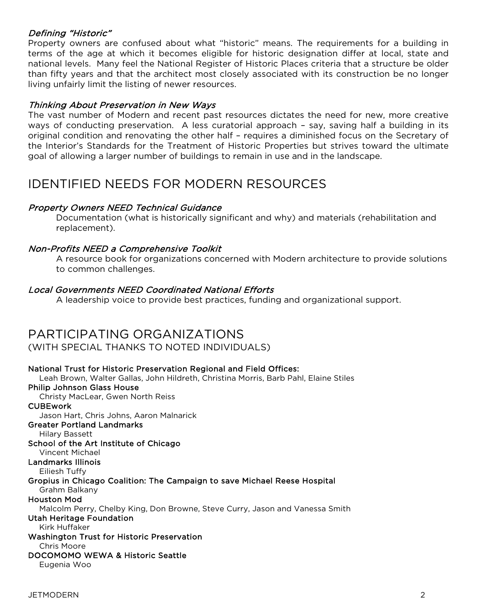#### Defining "Historic"

Property owners are confused about what "historic" means. The requirements for a building in terms of the age at which it becomes eligible for historic designation differ at local, state and national levels. Many feel the National Register of Historic Places criteria that a structure be older than fifty years and that the architect most closely associated with its construction be no longer living unfairly limit the listing of newer resources.

#### Thinking About Preservation in New Ways

The vast number of Modern and recent past resources dictates the need for new, more creative ways of conducting preservation. A less curatorial approach – say, saving half a building in its original condition and renovating the other half – requires a diminished focus on the Secretary of the Interior's Standards for the Treatment of Historic Properties but strives toward the ultimate goal of allowing a larger number of buildings to remain in use and in the landscape.

## IDENTIFIED NEEDS FOR MODERN RESOURCES

#### Property Owners NEED Technical Guidance

Documentation (what is historically significant and why) and materials (rehabilitation and replacement).

#### Non-Profits NEED a Comprehensive Toolkit

A resource book for organizations concerned with Modern architecture to provide solutions to common challenges.

#### Local Governments NEED Coordinated National Efforts

A leadership voice to provide best practices, funding and organizational support.

## PARTICIPATING ORGANIZATIONS

#### (WITH SPECIAL THANKS TO NOTED INDIVIDUALS)

National Trust for Historic Preservation Regional and Field Offices: Leah Brown, Walter Gallas, John Hildreth, Christina Morris, Barb Pahl, Elaine Stiles Philip Johnson Glass House Christy MacLear, Gwen North Reiss **CUBEwork** Jason Hart, Chris Johns, Aaron Malnarick Greater Portland Landmarks Hilary Bassett School of the Art Institute of Chicago Vincent Michael Landmarks Illinois Eiliesh Tuffy Gropius in Chicago Coalition: The Campaign to save Michael Reese Hospital Grahm Balkany Houston Mod Malcolm Perry, Chelby King, Don Browne, Steve Curry, Jason and Vanessa Smith Utah Heritage Foundation Kirk Huffaker Washington Trust for Historic Preservation Chris Moore DOCOMOMO WEWA & Historic Seattle Eugenia Woo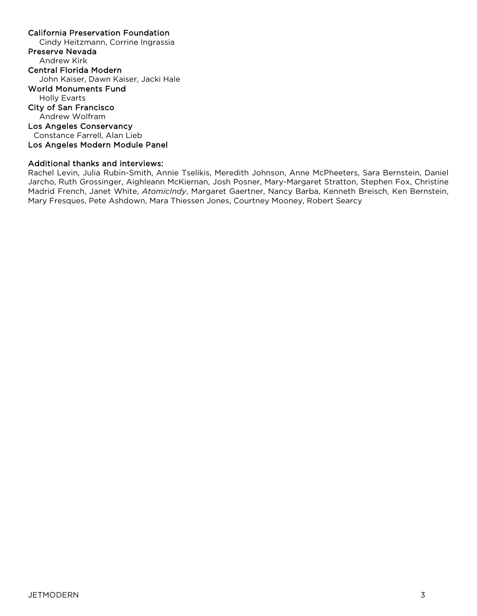#### California Preservation Foundation Cindy Heitzmann, Corrine Ingrassia Preserve Nevada Andrew Kirk Central Florida Modern John Kaiser, Dawn Kaiser, Jacki Hale World Monuments Fund Holly Evarts City of San Francisco Andrew Wolfram Los Angeles Conservancy Constance Farrell, Alan Lieb Los Angeles Modern Module Panel

#### Additional thanks and interviews:

Rachel Levin, Julia Rubin-Smith, Annie Tselikis, Meredith Johnson, Anne McPheeters, Sara Bernstein, Daniel Jarcho, Ruth Grossinger, Aighleann McKiernan, Josh Posner, Mary-Margaret Stratton, Stephen Fox, Christine Madrid French, Janet White, *AtomicIndy*, Margaret Gaertner, Nancy Barba, Kenneth Breisch, Ken Bernstein, Mary Fresques, Pete Ashdown, Mara Thiessen Jones, Courtney Mooney, Robert Searcy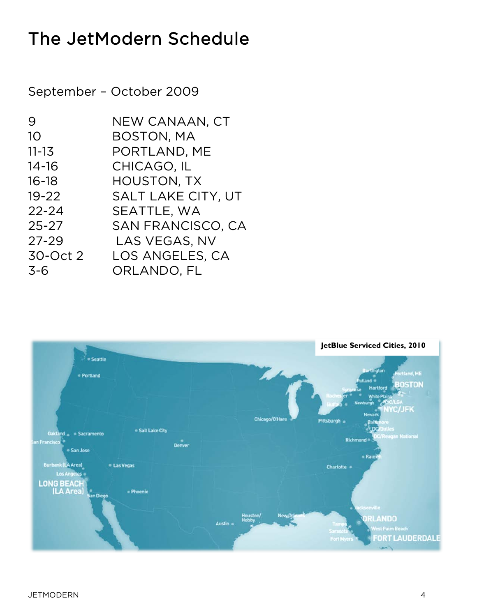# The JetModern Schedule

September – October 2009

| 9         | NEW CANAAN, CT            |
|-----------|---------------------------|
| 10        | <b>BOSTON, MA</b>         |
| $11 - 13$ | PORTLAND, ME              |
| $14 - 16$ | CHICAGO, IL               |
| $16 - 18$ | <b>HOUSTON, TX</b>        |
| $19 - 22$ | <b>SALT LAKE CITY, UT</b> |
| $22 - 24$ | SEATTLE, WA               |
| $25 - 27$ | <b>SAN FRANCISCO, CA</b>  |
| $27 - 29$ | LAS VEGAS, NV             |
| 30-Oct 2  | LOS ANGELES, CA           |
| $3 - 6$   | ORLANDO, FL               |

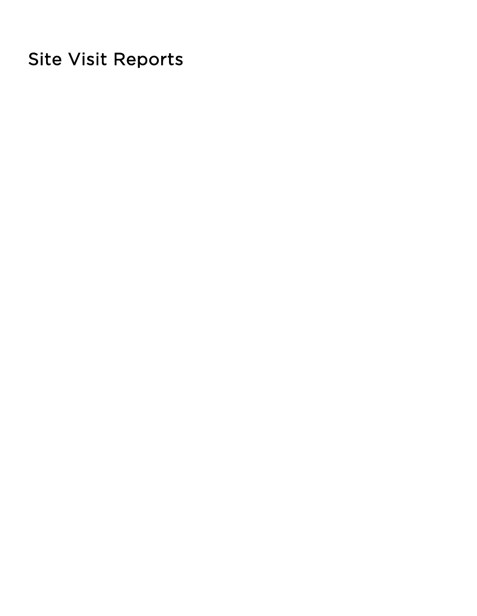Site Visit Reports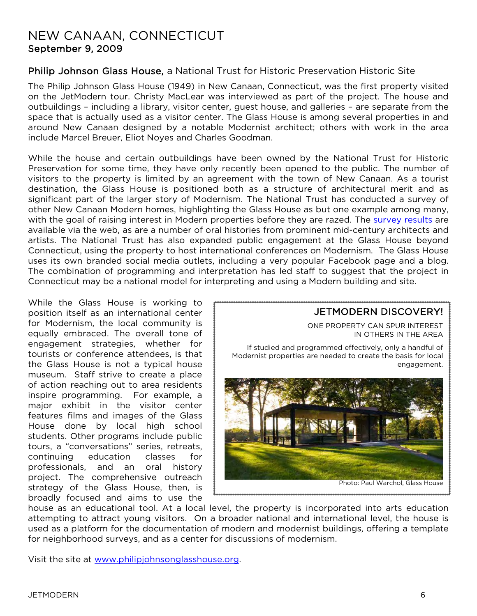## NEW CANAAN, CONNECTICUT September 9, 2009

### Philip Johnson Glass House, a National Trust for Historic Preservation Historic Site

The Philip Johnson Glass House (1949) in New Canaan, Connecticut, was the first property visited on the JetModern tour. Christy MacLear was interviewed as part of the project. The house and outbuildings – including a library, visitor center, guest house, and galleries – are separate from the space that is actually used as a visitor center. The Glass House is among several properties in and around New Canaan designed by a notable Modernist architect; others with work in the area include Marcel Breuer, Eliot Noyes and Charles Goodman.

While the house and certain outbuildings have been owned by the National Trust for Historic Preservation for some time, they have only recently been opened to the public. The number of visitors to the property is limited by an agreement with the town of New Canaan. As a tourist destination, the Glass House is positioned both as a structure of architectural merit and as significant part of the larger story of Modernism. The National Trust has conducted a survey of other New Canaan Modern homes, highlighting the Glass House as but one example among many, with the goal of raising interest in Modern properties before they are razed. The [survey results](http://www.preservationnation.org/travel-and-sites/sites/northeast-region/new-canaan-ct/) are available via the web, as are a number of oral histories from prominent mid-century architects and artists. The National Trust has also expanded public engagement at the Glass House beyond Connecticut, using the property to host international conferences on Modernism. The Glass House uses its own branded social media outlets, including a very popular Facebook page and a blog. The combination of programming and interpretation has led staff to suggest that the project in Connecticut may be a national model for interpreting and using a Modern building and site.

While the Glass House is working to position itself as an international center for Modernism, the local community is equally embraced. The overall tone of engagement strategies, whether for tourists or conference attendees, is that the Glass House is not a typical house museum. Staff strive to create a place of action reaching out to area residents inspire programming. For example, a major exhibit in the visitor center features films and images of the Glass House done by local high school students. Other programs include public tours, a "conversations" series, retreats, continuing education classes for professionals, and an oral history project. The comprehensive outreach strategy of the Glass House, then, is broadly focused and aims to use the



house as an educational tool. At a local level, the property is incorporated into arts education attempting to attract young visitors. On a broader national and international level, the house is used as a platform for the documentation of modern and modernist buildings, offering a template for neighborhood surveys, and as a center for discussions of modernism.

Visit the site at [www.philipjohnsonglasshouse.org](http://www.philipjohnsonglasshouse.org/).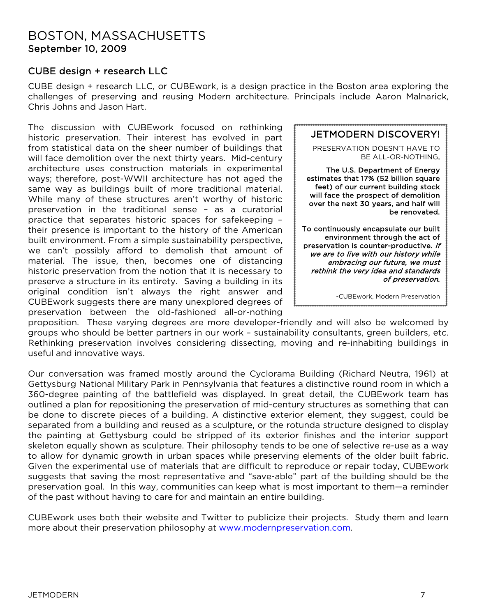## BOSTON, MASSACHUSETTS September 10, 2009

### CUBE design + research LLC

CUBE design + research LLC, or CUBEwork, is a design practice in the Boston area exploring the challenges of preserving and reusing Modern architecture. Principals include Aaron Malnarick, Chris Johns and Jason Hart.

The discussion with CUBEwork focused on rethinking historic preservation. Their interest has evolved in part from statistical data on the sheer number of buildings that will face demolition over the next thirty years. Mid-century architecture uses construction materials in experimental ways; therefore, post-WWII architecture has not aged the same way as buildings built of more traditional material. While many of these structures aren't worthy of historic preservation in the traditional sense – as a curatorial practice that separates historic spaces for safekeeping – their presence is important to the history of the American built environment. From a simple sustainability perspective, we can't possibly afford to demolish that amount of material. The issue, then, becomes one of distancing historic preservation from the notion that it is necessary to preserve a structure in its entirety. Saving a building in its original condition isn't always the right answer and CUBEwork suggests there are many unexplored degrees of preservation between the old-fashioned all-or-nothing



proposition. These varying degrees are more developer-friendly and will also be welcomed by groups who should be better partners in our work – sustainability consultants, green builders, etc. Rethinking preservation involves considering dissecting, moving and re-inhabiting buildings in useful and innovative ways.

Our conversation was framed mostly around the Cyclorama Building (Richard Neutra, 1961) at Gettysburg National Military Park in Pennsylvania that features a distinctive round room in which a 360-degree painting of the battlefield was displayed. In great detail, the CUBEwork team has outlined a plan for repositioning the preservation of mid-century structures as something that can be done to discrete pieces of a building. A distinctive exterior element, they suggest, could be separated from a building and reused as a sculpture, or the rotunda structure designed to display the painting at Gettysburg could be stripped of its exterior finishes and the interior support skeleton equally shown as sculpture. Their philosophy tends to be one of selective re-use as a way to allow for dynamic growth in urban spaces while preserving elements of the older built fabric. Given the experimental use of materials that are difficult to reproduce or repair today, CUBEwork suggests that saving the most representative and "save-able" part of the building should be the preservation goal. In this way, communities can keep what is most important to them—a reminder of the past without having to care for and maintain an entire building.

CUBEwork uses both their website and Twitter to publicize their projects. Study them and learn more about their preservation philosophy at [www.modernpreservation.com](http://www.modernpreservation.com/).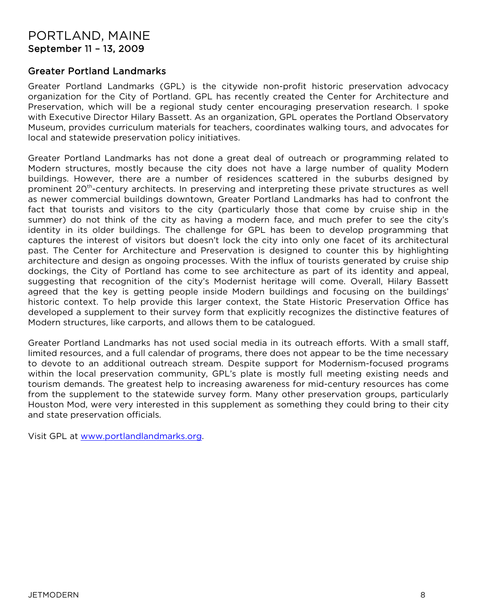## PORTLAND, MAINE September 11 – 13, 2009

### Greater Portland Landmarks

Greater Portland Landmarks (GPL) is the citywide non-profit historic preservation advocacy organization for the City of Portland. GPL has recently created the Center for Architecture and Preservation, which will be a regional study center encouraging preservation research. I spoke with Executive Director Hilary Bassett. As an organization, GPL operates the Portland Observatory Museum, provides curriculum materials for teachers, coordinates walking tours, and advocates for local and statewide preservation policy initiatives.

Greater Portland Landmarks has not done a great deal of outreach or programming related to Modern structures, mostly because the city does not have a large number of quality Modern buildings. However, there are a number of residences scattered in the suburbs designed by prominent 20<sup>th</sup>-century architects. In preserving and interpreting these private structures as well as newer commercial buildings downtown, Greater Portland Landmarks has had to confront the fact that tourists and visitors to the city (particularly those that come by cruise ship in the summer) do not think of the city as having a modern face, and much prefer to see the city's identity in its older buildings. The challenge for GPL has been to develop programming that captures the interest of visitors but doesn't lock the city into only one facet of its architectural past. The Center for Architecture and Preservation is designed to counter this by highlighting architecture and design as ongoing processes. With the influx of tourists generated by cruise ship dockings, the City of Portland has come to see architecture as part of its identity and appeal, suggesting that recognition of the city's Modernist heritage will come. Overall, Hilary Bassett agreed that the key is getting people inside Modern buildings and focusing on the buildings' historic context. To help provide this larger context, the State Historic Preservation Office has developed a supplement to their survey form that explicitly recognizes the distinctive features of Modern structures, like carports, and allows them to be catalogued.

Greater Portland Landmarks has not used social media in its outreach efforts. With a small staff, limited resources, and a full calendar of programs, there does not appear to be the time necessary to devote to an additional outreach stream. Despite support for Modernism-focused programs within the local preservation community, GPL's plate is mostly full meeting existing needs and tourism demands. The greatest help to increasing awareness for mid-century resources has come from the supplement to the statewide survey form. Many other preservation groups, particularly Houston Mod, were very interested in this supplement as something they could bring to their city and state preservation officials.

Visit GPL at [www.portlandlandmarks.org](http://www.portlandlandmarks.org/).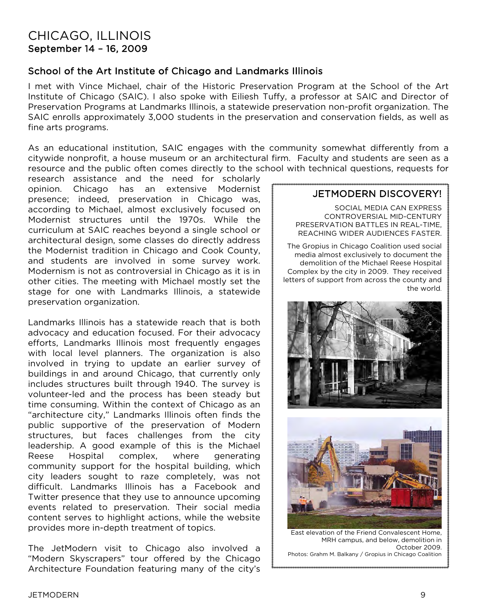## CHICAGO, ILLINOIS September 14 – 16, 2009

### School of the Art Institute of Chicago and Landmarks Illinois

I met with Vince Michael, chair of the Historic Preservation Program at the School of the Art Institute of Chicago (SAIC). I also spoke with Eiliesh Tuffy, a professor at SAIC and Director of Preservation Programs at Landmarks Illinois, a statewide preservation non-profit organization. The SAIC enrolls approximately 3,000 students in the preservation and conservation fields, as well as fine arts programs.

As an educational institution, SAIC engages with the community somewhat differently from a citywide nonprofit, a house museum or an architectural firm. Faculty and students are seen as a resource and the public often comes directly to the school with technical questions, requests for

research assistance and the need for scholarly opinion. Chicago has an extensive Modernist presence; indeed, preservation in Chicago was, according to Michael, almost exclusively focused on Modernist structures until the 1970s. While the curriculum at SAIC reaches beyond a single school or architectural design, some classes do directly address the Modernist tradition in Chicago and Cook County, and students are involved in some survey work. Modernism is not as controversial in Chicago as it is in other cities. The meeting with Michael mostly set the stage for one with Landmarks Illinois, a statewide preservation organization.

Landmarks Illinois has a statewide reach that is both advocacy and education focused. For their advocacy efforts, Landmarks Illinois most frequently engages with local level planners. The organization is also involved in trying to update an earlier survey of buildings in and around Chicago, that currently only includes structures built through 1940. The survey is volunteer-led and the process has been steady but time consuming. Within the context of Chicago as an "architecture city," Landmarks Illinois often finds the public supportive of the preservation of Modern structures, but faces challenges from the city leadership. A good example of this is the Michael Reese Hospital complex, where generating community support for the hospital building, which city leaders sought to raze completely, was not difficult. Landmarks Illinois has a Facebook and Twitter presence that they use to announce upcoming events related to preservation. Their social media content serves to highlight actions, while the website provides more in-depth treatment of topics.

The JetModern visit to Chicago also involved a "Modern Skyscrapers" tour offered by the Chicago Architecture Foundation featuring many of the city's

### JETMODERN DISCOVERY!

SOCIAL MEDIA CAN EXPRESS CONTROVERSIAL MID-CENTURY PRESERVATION BATTLES IN REAL-TIME, REACHING WIDER AUDIENCES FASTER.

The Gropius in Chicago Coalition used social media almost exclusively to document the demolition of the Michael Reese Hospital Complex by the city in 2009. They received letters of support from across the county and the world.





East elevation of the Friend Convalescent Home, MRH campus, and below, demolition in October 2009. Photos: Grahm M. Balkany / Gropius in Chicago Coalition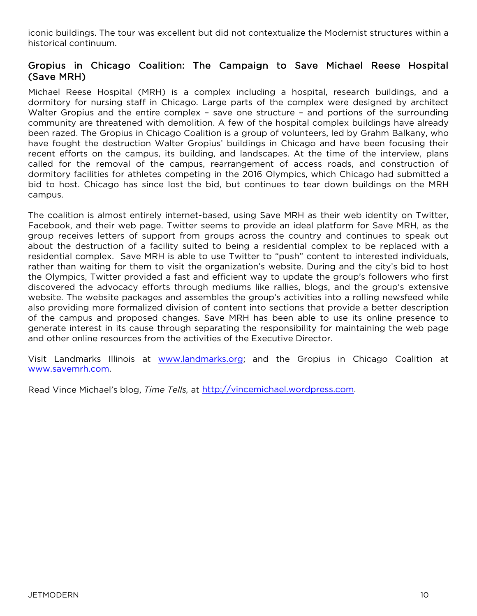iconic buildings. The tour was excellent but did not contextualize the Modernist structures within a historical continuum.

### Gropius in Chicago Coalition: The Campaign to Save Michael Reese Hospital (Save MRH)

Michael Reese Hospital (MRH) is a complex including a hospital, research buildings, and a dormitory for nursing staff in Chicago. Large parts of the complex were designed by architect Walter Gropius and the entire complex - save one structure - and portions of the surrounding community are threatened with demolition. A few of the hospital complex buildings have already been razed. The Gropius in Chicago Coalition is a group of volunteers, led by Grahm Balkany, who have fought the destruction Walter Gropius' buildings in Chicago and have been focusing their recent efforts on the campus, its building, and landscapes. At the time of the interview, plans called for the removal of the campus, rearrangement of access roads, and construction of dormitory facilities for athletes competing in the 2016 Olympics, which Chicago had submitted a bid to host. Chicago has since lost the bid, but continues to tear down buildings on the MRH campus.

The coalition is almost entirely internet-based, using Save MRH as their web identity on Twitter, Facebook, and their web page. Twitter seems to provide an ideal platform for Save MRH, as the group receives letters of support from groups across the country and continues to speak out about the destruction of a facility suited to being a residential complex to be replaced with a residential complex. Save MRH is able to use Twitter to "push" content to interested individuals, rather than waiting for them to visit the organization's website. During and the city's bid to host the Olympics, Twitter provided a fast and efficient way to update the group's followers who first discovered the advocacy efforts through mediums like rallies, blogs, and the group's extensive website. The website packages and assembles the group's activities into a rolling newsfeed while also providing more formalized division of content into sections that provide a better description of the campus and proposed changes. Save MRH has been able to use its online presence to generate interest in its cause through separating the responsibility for maintaining the web page and other online resources from the activities of the Executive Director.

Visit Landmarks Illinois at [www.landmarks.org;](http://www.landmarks.org/) and the Gropius in Chicago Coalition at [www.savemrh.co](http://www.savemrh.com/)m.

Read Vince Michael's blog, *Time Tells,* at [http://vincemichael.wordpress.com](http://vincemichael.wordpress.com/).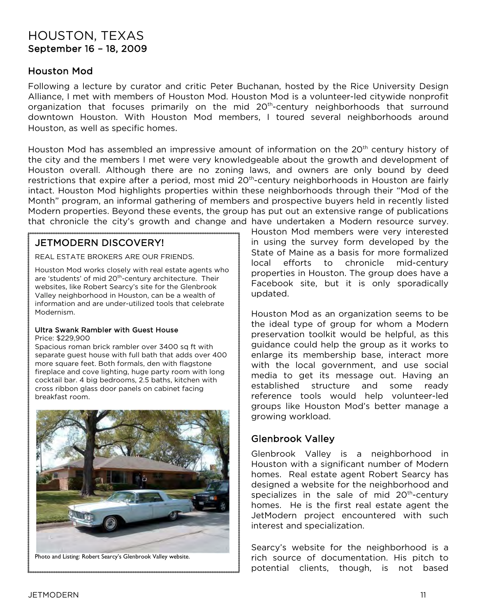## HOUSTON, TEXAS September 16 – 18, 2009

### Houston Mod

Following a lecture by curator and critic Peter Buchanan, hosted by the Rice University Design Alliance, I met with members of Houston Mod. Houston Mod is a volunteer-led citywide nonprofit organization that focuses primarily on the mid 20<sup>th</sup>-century neighborhoods that surround downtown Houston. With Houston Mod members, I toured several neighborhoods around Houston, as well as specific homes.

Houston Mod has assembled an impressive amount of information on the 20<sup>th</sup> century history of the city and the members I met were very knowledgeable about the growth and development of Houston overall. Although there are no zoning laws, and owners are only bound by deed restrictions that expire after a period, most mid 20<sup>th</sup>-century neighborhoods in Houston are fairly intact. Houston Mod highlights properties within these neighborhoods through their "Mod of the Month" program, an informal gathering of members and prospective buyers held in recently listed Modern properties. Beyond these events, the group has put out an extensive range of publications that chronicle the city's growth and change and have undertaken a Modern resource survey.

### JETMODERN DISCOVERY!

REAL ESTATE BROKERS ARE OUR FRIENDS.

Houston Mod works closely with real estate agents who are 'students' of mid 20<sup>th</sup>-century architecture. Their websites, like Robert Searcy's site for the Glenbrook Valley neighborhood in Houston, can be a wealth of information and are under-utilized tools that celebrate Modernism.

#### Ultra Swank Rambler with Guest House

Price: \$229,900

Spacious roman brick rambler over 3400 sq ft with separate guest house with full bath that adds over 400 more square feet. Both formals, den with flagstone fireplace and cove lighting, huge party room with long cocktail bar. 4 big bedrooms, 2.5 baths, kitchen with cross ribbon glass door panels on cabinet facing breakfast room.



Photo and Listing: Robert Searcy's Glenbrook Valley website.

Houston Mod members were very interested in using the survey form developed by the State of Maine as a basis for more formalized local efforts to chronicle mid-century properties in Houston. The group does have a Facebook site, but it is only sporadically updated.

Houston Mod as an organization seems to be the ideal type of group for whom a Modern preservation toolkit would be helpful, as this guidance could help the group as it works to enlarge its membership base, interact more with the local government, and use social media to get its message out. Having an established structure and some ready reference tools would help volunteer-led groups like Houston Mod's better manage a growing workload.

### Glenbrook Valley

Glenbrook Valley is a neighborhood in Houston with a significant number of Modern homes. Real estate agent Robert Searcy has designed a website for the neighborhood and specializes in the sale of mid  $20<sup>th</sup>$ -century homes. He is the first real estate agent the JetModern project encountered with such interest and specialization.

Searcy's website for the neighborhood is a rich source of documentation. His pitch to potential clients, though, is not based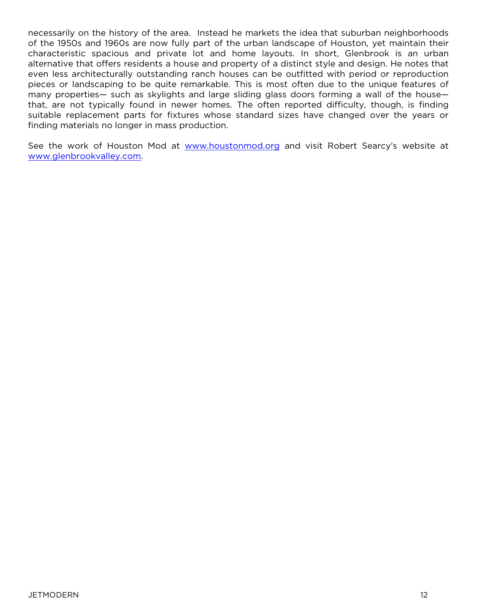necessarily on the history of the area. Instead he markets the idea that suburban neighborhoods of the 1950s and 1960s are now fully part of the urban landscape of Houston, yet maintain their characteristic spacious and private lot and home layouts. In short, Glenbrook is an urban alternative that offers residents a house and property of a distinct style and design. He notes that even less architecturally outstanding ranch houses can be outfitted with period or reproduction pieces or landscaping to be quite remarkable. This is most often due to the unique features of many properties— such as skylights and large sliding glass doors forming a wall of the house that, are not typically found in newer homes. The often reported difficulty, though, is finding suitable replacement parts for fixtures whose standard sizes have changed over the years or finding materials no longer in mass production.

See the work of Houston Mod at [www.houstonmod.org](http://www.houstonmod.org/) and visit Robert Searcy's website at [www.glenbrookvalley.com](http://www.glenbrookvalley.com/).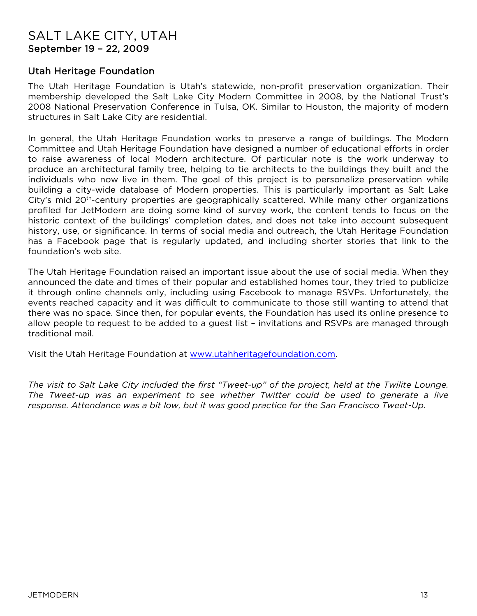## SALT LAKE CITY, UTAH September 19 – 22, 2009

### Utah Heritage Foundation

The Utah Heritage Foundation is Utah's statewide, non-profit preservation organization. Their membership developed the Salt Lake City Modern Committee in 2008, by the National Trust's 2008 National Preservation Conference in Tulsa, OK. Similar to Houston, the majority of modern structures in Salt Lake City are residential.

In general, the Utah Heritage Foundation works to preserve a range of buildings. The Modern Committee and Utah Heritage Foundation have designed a number of educational efforts in order to raise awareness of local Modern architecture. Of particular note is the work underway to produce an architectural family tree, helping to tie architects to the buildings they built and the individuals who now live in them. The goal of this project is to personalize preservation while building a city-wide database of Modern properties. This is particularly important as Salt Lake City's mid 20th-century properties are geographically scattered. While many other organizations profiled for JetModern are doing some kind of survey work, the content tends to focus on the historic context of the buildings' completion dates, and does not take into account subsequent history, use, or significance. In terms of social media and outreach, the Utah Heritage Foundation has a Facebook page that is regularly updated, and including shorter stories that link to the foundation's web site.

The Utah Heritage Foundation raised an important issue about the use of social media. When they announced the date and times of their popular and established homes tour, they tried to publicize it through online channels only, including using Facebook to manage RSVPs. Unfortunately, the events reached capacity and it was difficult to communicate to those still wanting to attend that there was no space. Since then, for popular events, the Foundation has used its online presence to allow people to request to be added to a guest list – invitations and RSVPs are managed through traditional mail.

Visit the Utah Heritage Foundation at [www.utahheritagefoundation.com](http://www.utahheritagefoundation.com/).

*The visit to Salt Lake City included the first "Tweet-up" of the project, held at the Twilite Lounge. The Tweet-up was an experiment to see whether Twitter could be used to generate a live response. Attendance was a bit low, but it was good practice for the San Francisco Tweet-Up.*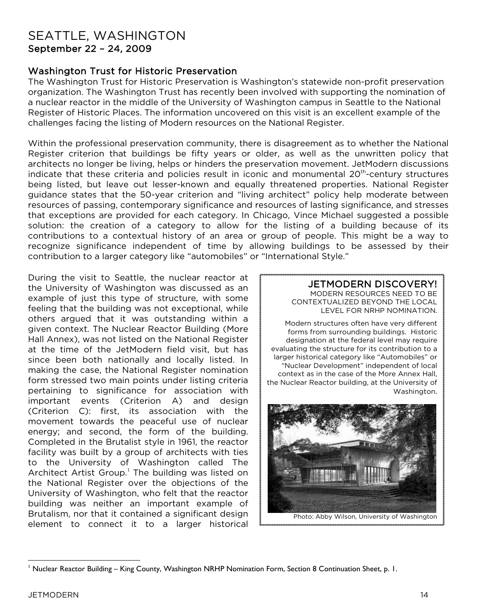## SEATTLE, WASHINGTON September 22 – 24, 2009

### Washington Trust for Historic Preservation

The Washington Trust for Historic Preservation is Washington's statewide non-profit preservation organization. The Washington Trust has recently been involved with supporting the nomination of a nuclear reactor in the middle of the University of Washington campus in Seattle to the National Register of Historic Places. The information uncovered on this visit is an excellent example of the challenges facing the listing of Modern resources on the National Register.

Within the professional preservation community, there is disagreement as to whether the National Register criterion that buildings be fifty years or older, as well as the unwritten policy that architects no longer be living, helps or hinders the preservation movement. JetModern discussions indicate that these criteria and policies result in iconic and monumental 20<sup>th</sup>-century structures being listed, but leave out lesser-known and equally threatened properties. National Register guidance states that the 50-year criterion and "living architect" policy help moderate between resources of passing, contemporary significance and resources of lasting significance, and stresses that exceptions are provided for each category. In Chicago, Vince Michael suggested a possible solution: the creation of a category to allow for the listing of a building because of its contributions to a contextual history of an area or group of people. This might be a way to recognize significance independent of time by allowing buildings to be assessed by their contribution to a larger category like "automobiles" or "International Style."

During the visit to Seattle, the nuclear reactor at the University of Washington was discussed as an example of just this type of structure, with some feeling that the building was not exceptional, while others argued that it was outstanding within a given context. The Nuclear Reactor Building (More Hall Annex), was not listed on the National Register at the time of the JetModern field visit, but has since been both nationally and locally listed. In making the case, the National Register nomination form stressed two main points under listing criteria pertaining to significance for association with important events (Criterion A) and design (Criterion C): first, its association with the movement towards the peaceful use of nuclear energy; and second, the form of the building. Completed in the Brutalist style in 1961, the reactor facility was built by a group of architects with ties to the University of Washington called The Architect Artist Group. [1](#page-15-0) The building was listed on the National Register over the objections of the University of Washington, who felt that the reactor building was neither an important example of Brutalism, nor that it contained a significant design element to connect it to a larger historical

#### JETMODERN DISCOVERY! MODERN RESOURCES NEED TO BE CONTEXTUALIZED BEYOND THE LOCAL LEVEL FOR NRHP NOMINATION.

Modern structures often have very different forms from surrounding buildings. Historic designation at the federal level may require evaluating the structure for its contribution to a larger historical category like "Automobiles" or "Nuclear Development" independent of local context as in the case of the More Annex Hall, the Nuclear Reactor building, at the University of Washington.

<span id="page-15-0"></span>

<sup>-</sup><sup>1</sup> Nuclear Reactor Building – King County, Washington NRHP Nomination Form, Section 8 Continuation Sheet, p. 1.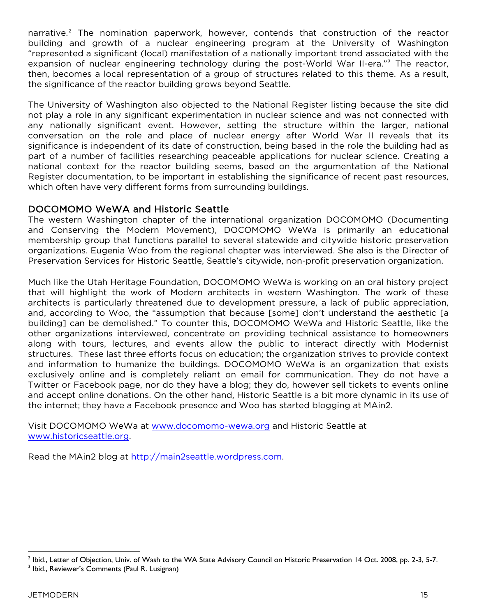narrative.<sup>[2](#page-16-0)</sup> The nomination paperwork, however, contends that construction of the reactor building and growth of a nuclear engineering program at the University of Washington "represented a significant (local) manifestation of a nationally important trend associated with the expansion of nuclear engineering technology during the post-World War II-era."<sup>[3](#page-16-1)</sup> The reactor, then, becomes a local representation of a group of structures related to this theme. As a result, the significance of the reactor building grows beyond Seattle.

The University of Washington also objected to the National Register listing because the site did not play a role in any significant experimentation in nuclear science and was not connected with any nationally significant event. However, setting the structure within the larger, national conversation on the role and place of nuclear energy after World War II reveals that its significance is independent of its date of construction, being based in the role the building had as part of a number of facilities researching peaceable applications for nuclear science. Creating a national context for the reactor building seems, based on the argumentation of the National Register documentation, to be important in establishing the significance of recent past resources, which often have very different forms from surrounding buildings.

### DOCOMOMO WeWA and Historic Seattle

The western Washington chapter of the international organization DOCOMOMO (Documenting and Conserving the Modern Movement), DOCOMOMO WeWa is primarily an educational membership group that functions parallel to several statewide and citywide historic preservation organizations. Eugenia Woo from the regional chapter was interviewed. She also is the Director of Preservation Services for Historic Seattle, Seattle's citywide, non-profit preservation organization.

Much like the Utah Heritage Foundation, DOCOMOMO WeWa is working on an oral history project that will highlight the work of Modern architects in western Washington. The work of these architects is particularly threatened due to development pressure, a lack of public appreciation, and, according to Woo, the "assumption that because [some] don't understand the aesthetic [a building] can be demolished." To counter this, DOCOMOMO WeWa and Historic Seattle, like the other organizations interviewed, concentrate on providing technical assistance to homeowners along with tours, lectures, and events allow the public to interact directly with Modernist structures. These last three efforts focus on education; the organization strives to provide context and information to humanize the buildings. DOCOMOMO WeWa is an organization that exists exclusively online and is completely reliant on email for communication. They do not have a Twitter or Facebook page, nor do they have a blog; they do, however sell tickets to events online and accept online donations. On the other hand, Historic Seattle is a bit more dynamic in its use of the internet; they have a Facebook presence and Woo has started blogging at MAin2.

Visit DOCOMOMO WeWa at [www.docomomo](http://www.docomomo-wewa.org/)-wewa.org and Historic Seattle at [www.historicseattle.org](http://www.historicseattle.org/).

Read the MAin2 blog at [http://main2seattle.wordpr](http://main2seattle.wordpress.com/)ess.com.

<span id="page-16-1"></span><span id="page-16-0"></span><sup>&</sup>lt;u>.</u>  $^2$  Ibid., Letter of Objection, Univ. of Wash to the WA State Advisory Council on Historic Preservation 14 Oct. 2008, pp. 2-3, 5-7. <sup>3</sup> Ibid., Reviewer's Comments (Paul R. Lusignan)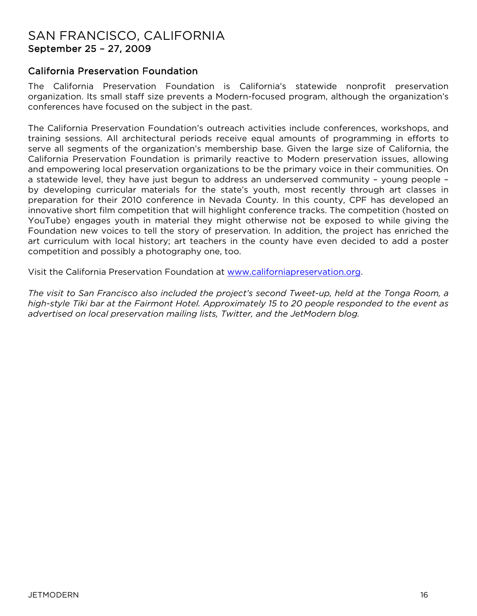## SAN FRANCISCO, CALIFORNIA September 25 – 27, 2009

### California Preservation Foundation

The California Preservation Foundation is California's statewide nonprofit preservation organization. Its small staff size prevents a Modern-focused program, although the organization's conferences have focused on the subject in the past.

The California Preservation Foundation's outreach activities include conferences, workshops, and training sessions. All architectural periods receive equal amounts of programming in efforts to serve all segments of the organization's membership base. Given the large size of California, the California Preservation Foundation is primarily reactive to Modern preservation issues, allowing and empowering local preservation organizations to be the primary voice in their communities. On a statewide level, they have just begun to address an underserved community – young people – by developing curricular materials for the state's youth, most recently through art classes in preparation for their 2010 conference in Nevada County. In this county, CPF has developed an innovative short film competition that will highlight conference tracks. The competition (hosted on YouTube) engages youth in material they might otherwise not be exposed to while giving the Foundation new voices to tell the story of preservation. In addition, the project has enriched the art curriculum with local history; art teachers in the county have even decided to add a poster competition and possibly a photography one, too.

Visit the California Preservation Foundation at [www.californiapreservation.org](http://www.californiapreservation.org/).

*The visit to San Francisco also included the project's second Tweet-up, held at the Tonga Room, a high-style Tiki bar at the Fairmont Hotel. Approximately 15 to 20 people responded to the event as advertised on local preservation mailing lists, Twitter, and the JetModern blog.*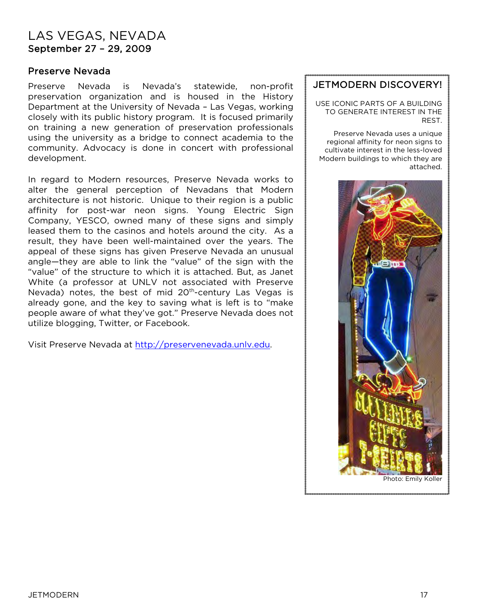## LAS VEGAS, NEVADA September 27 – 29, 2009

#### Preserve Nevada

Preserve Nevada is Nevada's statewide, non-profit preservation organization and is housed in the History Department at the University of Nevada – Las Vegas, working closely with its public history program. It is focused primarily on training a new generation of preservation professionals using the university as a bridge to connect academia to the community. Advocacy is done in concert with professional development.

In regard to Modern resources, Preserve Nevada works to alter the general perception of Nevadans that Modern architecture is not historic. Unique to their region is a public affinity for post-war neon signs. Young Electric Sign Company, YESCO, owned many of these signs and simply leased them to the casinos and hotels around the city. As a result, they have been well-maintained over the years. The appeal of these signs has given Preserve Nevada an unusual angle—they are able to link the "value" of the sign with the "value" of the structure to which it is attached. But, as Janet White (a professor at UNLV not associated with Preserve Nevada) notes, the best of mid 20<sup>th</sup>-century Las Vegas is already gone, and the key to saving what is left is to "make people aware of what they've got." Preserve Nevada does not utilize blogging, Twitter, or Facebook.

Visit Preserve Nevada at [http://preservenevada.unlv.edu](http://preservenevada.unlv.edu/).

### JETMODERN DISCOVERY!

USE ICONIC PARTS OF A BUILDING TO GENERATE INTEREST IN THE REST.

Preserve Nevada uses a unique regional affinity for neon signs to cultivate interest in the less-loved Modern buildings to which they are attached.



Ĩ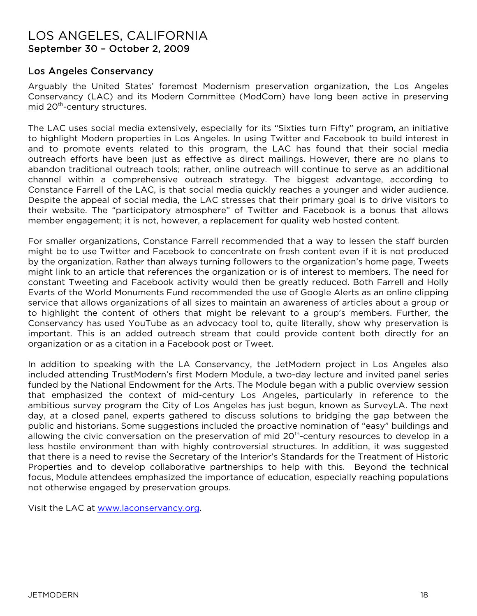### LOS ANGELES, CALIFORNIA September 30 – October 2, 2009

### Los Angeles Conservancy

Arguably the United States' foremost Modernism preservation organization, the Los Angeles Conservancy (LAC) and its Modern Committee (ModCom) have long been active in preserving mid 20<sup>th</sup>-century structures.

The LAC uses social media extensively, especially for its "Sixties turn Fifty" program, an initiative to highlight Modern properties in Los Angeles. In using Twitter and Facebook to build interest in and to promote events related to this program, the LAC has found that their social media outreach efforts have been just as effective as direct mailings. However, there are no plans to abandon traditional outreach tools; rather, online outreach will continue to serve as an additional channel within a comprehensive outreach strategy. The biggest advantage, according to Constance Farrell of the LAC, is that social media quickly reaches a younger and wider audience. Despite the appeal of social media, the LAC stresses that their primary goal is to drive visitors to their website. The "participatory atmosphere" of Twitter and Facebook is a bonus that allows member engagement; it is not, however, a replacement for quality web hosted content.

For smaller organizations, Constance Farrell recommended that a way to lessen the staff burden might be to use Twitter and Facebook to concentrate on fresh content even if it is not produced by the organization. Rather than always turning followers to the organization's home page, Tweets might link to an article that references the organization or is of interest to members. The need for constant Tweeting and Facebook activity would then be greatly reduced. Both Farrell and Holly Evarts of the World Monuments Fund recommended the use of Google Alerts as an online clipping service that allows organizations of all sizes to maintain an awareness of articles about a group or to highlight the content of others that might be relevant to a group's members. Further, the Conservancy has used YouTube as an advocacy tool to, quite literally, show why preservation is important. This is an added outreach stream that could provide content both directly for an organization or as a citation in a Facebook post or Tweet.

In addition to speaking with the LA Conservancy, the JetModern project in Los Angeles also included attending TrustModern's first Modern Module, a two-day lecture and invited panel series funded by the National Endowment for the Arts. The Module began with a public overview session that emphasized the context of mid-century Los Angeles, particularly in reference to the ambitious survey program the City of Los Angeles has just begun, known as SurveyLA. The next day, at a closed panel, experts gathered to discuss solutions to bridging the gap between the public and historians. Some suggestions included the proactive nomination of "easy" buildings and allowing the civic conversation on the preservation of mid 20<sup>th</sup>-century resources to develop in a less hostile environment than with highly controversial structures. In addition, it was suggested that there is a need to revise the Secretary of the Interior's Standards for the Treatment of Historic Properties and to develop collaborative partnerships to help with this. Beyond the technical focus, Module attendees emphasized the importance of education, especially reaching populations not otherwise engaged by preservation groups.

Visit the LAC at [www.laconservancy.org](http://www.laconservancy.org/).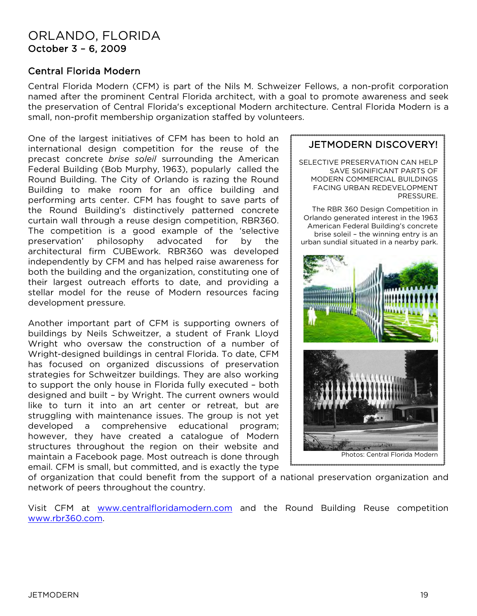## ORLANDO, FLORIDA October 3 – 6, 2009

### Central Florida Modern

Central Florida Modern (CFM) is part of the Nils M. Schweizer Fellows, a non-profit corporation named after the prominent Central Florida architect, with a goal to promote awareness and seek the preservation of Central Florida's exceptional Modern architecture. Central Florida Modern is a small, non-profit membership organization staffed by volunteers.

One of the largest initiatives of CFM has been to hold an international design competition for the reuse of the precast concrete *brise soleil* surrounding the American Federal Building (Bob Murphy, 1963), popularly called the Round Building. The City of Orlando is razing the Round Building to make room for an office building and performing arts center. CFM has fought to save parts of the Round Building's distinctively patterned concrete curtain wall through a reuse design competition, RBR360. The competition is a good example of the 'selective preservation' philosophy advocated for by the architectural firm CUBEwork. RBR360 was developed independently by CFM and has helped raise awareness for both the building and the organization, constituting one of their largest outreach efforts to date, and providing a stellar model for the reuse of Modern resources facing development pressure.

Another important part of CFM is supporting owners of buildings by Neils Schweitzer, a student of Frank Lloyd Wright who oversaw the construction of a number of Wright-designed buildings in central Florida. To date, CFM has focused on organized discussions of preservation strategies for Schweitzer buildings. They are also working to support the only house in Florida fully executed – both designed and built – by Wright. The current owners would like to turn it into an art center or retreat, but are struggling with maintenance issues. The group is not yet developed a comprehensive educational program; however, they have created a catalogue of Modern structures throughout the region on their website and maintain a Facebook page. Most outreach is done through email. CFM is small, but committed, and is exactly the type



JETMODERN DISCOVERY!

of organization that could benefit from the support of a national preservation organization and network of peers throughout the country.

Visit CFM at [www.centralfloridamodern.com](http://www.centralfloridamodern.com/) and the Round Building Reuse competition [www.rbr360.com](http://www.rbr360.com/).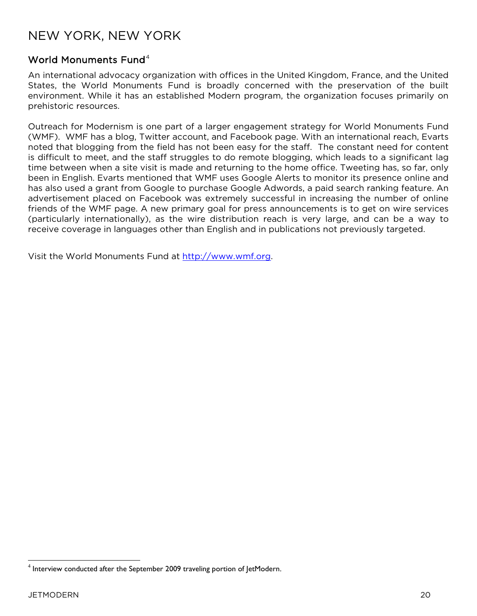## NEW YORK, NEW YORK

### World Monuments Fund<sup>[4](#page-21-0)</sup>

An international advocacy organization with offices in the United Kingdom, France, and the United States, the World Monuments Fund is broadly concerned with the preservation of the built environment. While it has an established Modern program, the organization focuses primarily on prehistoric resources.

Outreach for Modernism is one part of a larger engagement strategy for World Monuments Fund (WMF). WMF has a blog, Twitter account, and Facebook page. With an international reach, Evarts noted that blogging from the field has not been easy for the staff. The constant need for content is difficult to meet, and the staff struggles to do remote blogging, which leads to a significant lag time between when a site visit is made and returning to the home office. Tweeting has, so far, only been in English. Evarts mentioned that WMF uses Google Alerts to monitor its presence online and has also used a grant from Google to purchase Google Adwords, a paid search ranking feature. An advertisement placed on Facebook was extremely successful in increasing the number of online friends of the WMF page. A new primary goal for press announcements is to get on wire services (particularly internationally), as the wire distribution reach is very large, and can be a way to receive coverage in languages other than English and in publications not previously targeted.

Visit the World Monuments Fund at [http://www.wmf.org](http://www.wmf.org/).

<span id="page-21-0"></span> $\overline{a}$  $4$  Interview conducted after the September 2009 traveling portion of JetModern.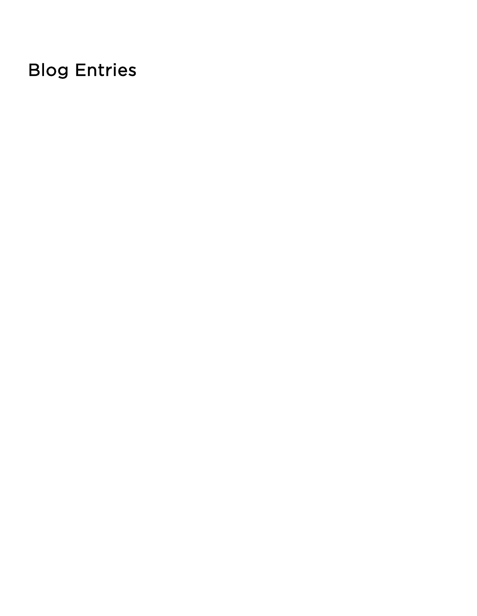# Blog Entries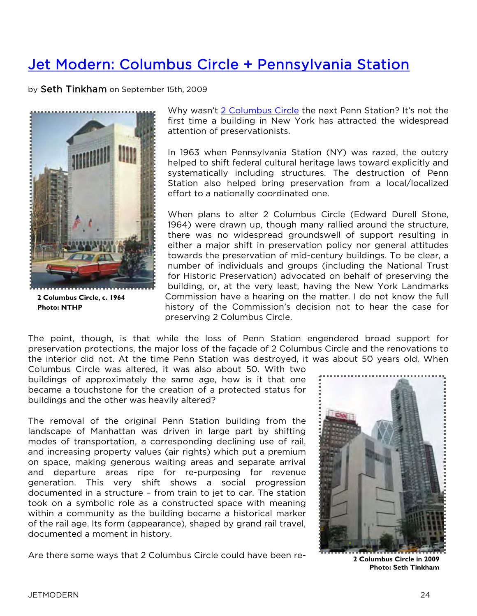## Jet [Modern: Columbus Circle + Pennsylvania Station](http://blogs.nationaltrust.org/preservationnation/?p=5942)

by Seth Tinkham on September 15th, 2009



**2 Columbus Circle, c. 1964 Photo: NTHP**

Why wasn't [2 Columbus Circle](http://www.preservationnation.org/travel-and-sites/sites/northeast-region/2-columbus-circle.html) the next Penn Station? It's not the first time a building in New York has attracted the widespread attention of preservationists.

In 1963 when Pennsylvania Station (NY) was razed, the outcry helped to shift federal cultural heritage laws toward explicitly and systematically including structures. The destruction of Penn Station also helped bring preservation from a local/localized effort to a nationally coordinated one.

When plans to alter 2 Columbus Circle (Edward Durell Stone, 1964) were drawn up, though many rallied around the structure, there was no widespread groundswell of support resulting in either a major shift in preservation policy nor general attitudes towards the preservation of mid-century buildings. To be clear, a number of individuals and groups (including the National Trust for Historic Preservation) advocated on behalf of preserving the building, or, at the very least, having the New York Landmarks Commission have a hearing on the matter. I do not know the full history of the Commission's decision not to hear the case for preserving 2 Columbus Circle.

The point, though, is that while the loss of Penn Station engendered broad support for preservation protections, the major loss of the façade of 2 Columbus Circle and the renovations to the interior did not. At the time Penn Station was destroyed, it was about 50 years old. When

Columbus Circle was altered, it was also about 50. With two buildings of approximately the same age, how is it that one became a touchstone for the creation of a protected status for buildings and the other was heavily altered?

The removal of the original Penn Station building from the landscape of Manhattan was driven in large part by shifting modes of transportation, a corresponding declining use of rail, and increasing property values (air rights) which put a premium on space, making generous waiting areas and separate arrival and departure areas ripe for re-purposing for revenue generation. This very shift shows a social progression documented in a structure – from train to jet to car. The station took on a symbolic role as a constructed space with meaning within a community as the building became a historical marker of the rail age. Its form (appearance), shaped by grand rail travel, documented a moment in history.

Are there some ways that 2 Columbus Circle could have been re-



**2 Columbus Circle in 2009 Photo: Seth Tinkham**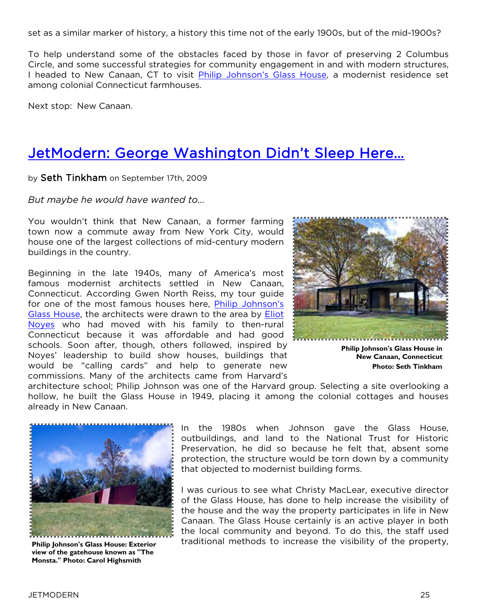set as a similar marker of history, a history this time not of the early 1900s, but of the mid-1900s?

To help understand some of the obstacles faced by those in favor of preserving 2 Columbus Circle, and some successful strategies for community engagement in and with modern structures, I headed to New Canaan, CT to visit [Philip Johnson's Glass House,](http://www.preservationnation.org/travel-and-sites/sites/northeast-region/glass-house.html) a modernist residence set among colonial Connecticut farmhouses.

Next stop: New Canaan.

## Jet[Modern: George Washington Didn't Sleep Here…](http://blogs.nationaltrust.org/preservationnation/?p=6049)

#### by Seth Tinkham on September 17th, 2009

*But maybe he would have wanted to…* 

You wouldn't think that New Canaan, a former farming town now a commute away from New York City, would house one of the largest collections of mid-century modern buildings in the country.

Beginning in the late 1940s, many of America's most famous modernist architects settled in New Canaan, Connecticut. According Gwen North Reiss, my tour guide for one of the most famous houses here, Philip Johnson's [Glass House,](http://philipjohnsonglasshouse.org/) the architects were drawn to the area by [Eliot](http://en.wikipedia.org/wiki/Eliot_Noyes)  [Noyes](http://en.wikipedia.org/wiki/Eliot_Noyes) who had moved with his family to then-rural Connecticut because it was affordable and had good schools. Soon after, though, others followed, inspired by Noyes' leadership to build show houses, buildings that would be "calling cards" and help to generate new commissions. Many of the architects came from Harvard's



**Philip Johnson's Glass House in New Canaan, Connecticut Photo: Seth Tinkham**

architecture school; Philip Johnson was one of the Harvard group. Selecting a site overlooking a hollow, he built the Glass House in 1949, placing it among the colonial cottages and houses already in New Canaan.



**Philip Johnson's Glass House: Exterior view of the gatehouse known as "The Monsta." Photo: Carol Highsmith**

In the 1980s when Johnson gave the Glass House, outbuildings, and land to the National Trust for Historic Preservation, he did so because he felt that, absent some protection, the structure would be torn down by a community that objected to modernist building forms.

I was curious to see what Christy MacLear, executive director of the Glass House, has done to help increase the visibility of the house and the way the property participates in life in New Canaan. The Glass House certainly is an active player in both the local community and beyond. To do this, the staff used traditional methods to increase the visibility of the property,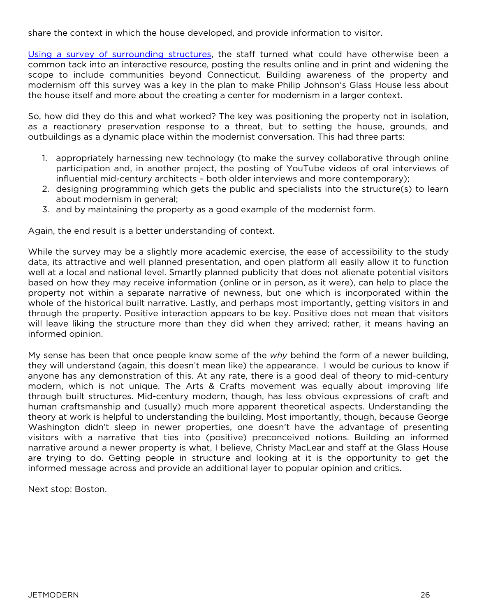share the context in which the house developed, and provide information to visitor.

[Using a survey of surrounding structures,](http://www.preservationnation.org/travel-and-sites/sites/northeast-region/new-canaan-ct/) the staff turned what could have otherwise been a common tack into an interactive resource, posting the results online and in print and widening the scope to include communities beyond Connecticut. Building awareness of the property and modernism off this survey was a key in the plan to make Philip Johnson's Glass House less about the house itself and more about the creating a center for modernism in a larger context.

So, how did they do this and what worked? The key was positioning the property not in isolation, as a reactionary preservation response to a threat, but to setting the house, grounds, and outbuildings as a dynamic place within the modernist conversation. This had three parts:

- 1. appropriately harnessing new technology (to make the survey collaborative through online participation and, in another project, the posting of YouTube videos of oral interviews of influential mid-century architects – both older interviews and more contemporary);
- 2. designing programming which gets the public and specialists into the structure(s) to learn about modernism in general;
- 3. and by maintaining the property as a good example of the modernist form.

Again, the end result is a better understanding of context.

While the survey may be a slightly more academic exercise, the ease of accessibility to the study data, its attractive and well planned presentation, and open platform all easily allow it to function well at a local and national level. Smartly planned publicity that does not alienate potential visitors based on how they may receive information (online or in person, as it were), can help to place the property not within a separate narrative of newness, but one which is incorporated within the whole of the historical built narrative. Lastly, and perhaps most importantly, getting visitors in and through the property. Positive interaction appears to be key. Positive does not mean that visitors will leave liking the structure more than they did when they arrived; rather, it means having an informed opinion.

My sense has been that once people know some of the *why* behind the form of a newer building, they will understand (again, this doesn't mean like) the appearance. I would be curious to know if anyone has any demonstration of this. At any rate, there is a good deal of theory to mid-century modern, which is not unique. The Arts & Crafts movement was equally about improving life through built structures. Mid-century modern, though, has less obvious expressions of craft and human craftsmanship and (usually) much more apparent theoretical aspects. Understanding the theory at work is helpful to understanding the building. Most importantly, though, because George Washington didn't sleep in newer properties, one doesn't have the advantage of presenting visitors with a narrative that ties into (positive) preconceived notions. Building an informed narrative around a newer property is what, I believe, Christy MacLear and staff at the Glass House are trying to do. Getting people in structure and looking at it is the opportunity to get the informed message across and provide an additional layer to popular opinion and critics.

Next stop: Boston.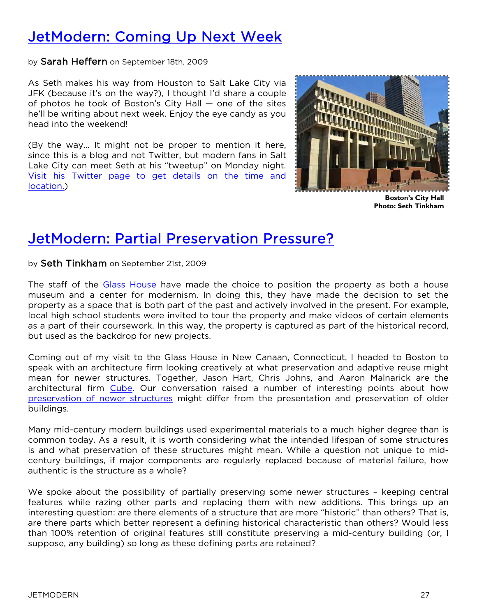## Jet[Modern: Coming Up Next Week](http://blogs.nationaltrust.org/preservationnation/?p=6103)

by Sarah Heffern on September 18th, 2009

As Seth makes his way from Houston to Salt Lake City via JFK (because it's on the way?), I thought I'd share a couple of photos he took of Boston's City Hall — one of the sites he'll be writing about next week. Enjoy the eye candy as you head into the weekend!

(By the way… It might not be proper to mention it here, since this is a blog and not Twitter, but modern fans in Salt Lake City can meet Seth at his "tweetup" on Monday night. [Visit his Twitter page to get details on the time and](http://www.twitter.com/jetmodern)  [location.\)](http://www.twitter.com/jetmodern)



**Boston's City Hall Photo: Seth Tinkham**

## Jet[Modern: Partial Preservation Pressure?](http://blogs.nationaltrust.org/preservationnation/?p=6115)

by Seth Tinkham on September 21st, 2009

The staff of the [Glass House](http://philipjohnsonglasshouse.org/) have made the choice to position the property as both a house museum and a center for modernism. In doing this, they have made the decision to set the property as a space that is both part of the past and actively involved in the present. For example, local high school students were invited to tour the property and make videos of certain elements as a part of their coursework. In this way, the property is captured as part of the historical record, but used as the backdrop for new projects.

Coming out of my visit to the Glass House in New Canaan, Connecticut, I headed to Boston to speak with an architecture firm looking creatively at what preservation and adaptive reuse might mean for newer structures. Together, Jason Hart, Chris Johns, and Aaron Malnarick are the architectural firm [Cube.](http://www.cubework.com/home.htm) Our conversation raised a number of interesting points about how [preservation of newer structures](http://www.modernpreservation.com/) might differ from the presentation and preservation of older buildings.

Many mid-century modern buildings used experimental materials to a much higher degree than is common today. As a result, it is worth considering what the intended lifespan of some structures is and what preservation of these structures might mean. While a question not unique to midcentury buildings, if major components are regularly replaced because of material failure, how authentic is the structure as a whole?

We spoke about the possibility of partially preserving some newer structures - keeping central features while razing other parts and replacing them with new additions. This brings up an interesting question: are there elements of a structure that are more "historic" than others? That is, are there parts which better represent a defining historical characteristic than others? Would less than 100% retention of original features still constitute preserving a mid-century building (or, I suppose, any building) so long as these defining parts are retained?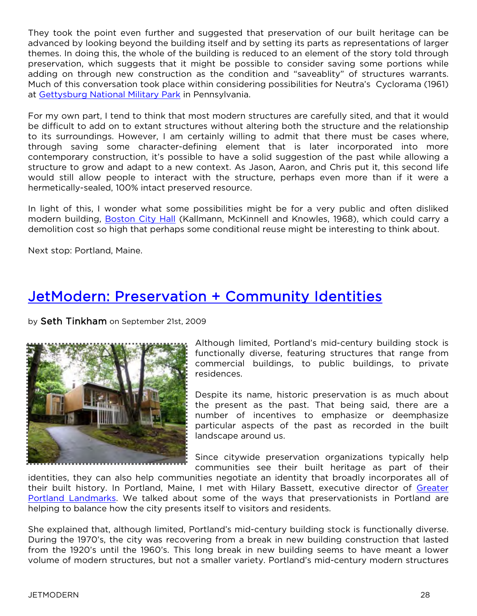They took the point even further and suggested that preservation of our built heritage can be advanced by looking beyond the building itself and by setting its parts as representations of larger themes. In doing this, the whole of the building is reduced to an element of the story told through preservation, which suggests that it might be possible to consider saving some portions while adding on through new construction as the condition and "saveablity" of structures warrants. Much of this conversation took place within considering possibilities for Neutra's Cyclorama (1961) at [Gettysburg National Military Park](http://www.nps.gov/gett/index.htm) in Pennsylvania.

For my own part, I tend to think that most modern structures are carefully sited, and that it would be difficult to add on to extant structures without altering both the structure and the relationship to its surroundings. However, I am certainly willing to admit that there must be cases where, through saving some character-defining element that is later incorporated into more contemporary construction, it's possible to have a solid suggestion of the past while allowing a structure to grow and adapt to a new context. As Jason, Aaron, and Chris put it, this second life would still allow people to interact with the structure, perhaps even more than if it were a hermetically-sealed, 100% intact preserved resource.

In light of this, I wonder what some possibilities might be for a very public and often disliked modern building, [Boston City Hall](http://blogs.nationaltrust.org/preservationnation/?p=6103) (Kallmann, McKinnell and Knowles, 1968), which could carry a demolition cost so high that perhaps some conditional reuse might be interesting to think about.

Next stop: Portland, Maine.

## [JetModern: Preservation + Community Identities](http://blogs.nationaltrust.org/preservationnation/?p=6120)

by Seth Tinkham on September 21st, 2009



Although limited, Portland's mid-century building stock is functionally diverse, featuring structures that range from commercial buildings, to public buildings, to private residences.

Despite its name, historic preservation is as much about the present as the past. That being said, there are a number of incentives to emphasize or deemphasize particular aspects of the past as recorded in the built landscape around us.

Since citywide preservation organizations typically help communities see their built heritage as part of their

identities, they can also help communities negotiate an identity that broadly incorporates all of their built history. In Portland, Maine, I met with Hilary Bassett, executive director of [Greater](http://portlandlandmarks.org/)  Portland [Landmarks.](http://portlandlandmarks.org/) We talked about some of the ways that preservationists in Portland are helping to balance how the city presents itself to visitors and residents.

She explained that, although limited, Portland's mid-century building stock is functionally diverse. During the 1970's, the city was recovering from a break in new building construction that lasted from the 1920's until the 1960's. This long break in new building seems to have meant a lower volume of modern structures, but not a smaller variety. Portland's mid-century modern structures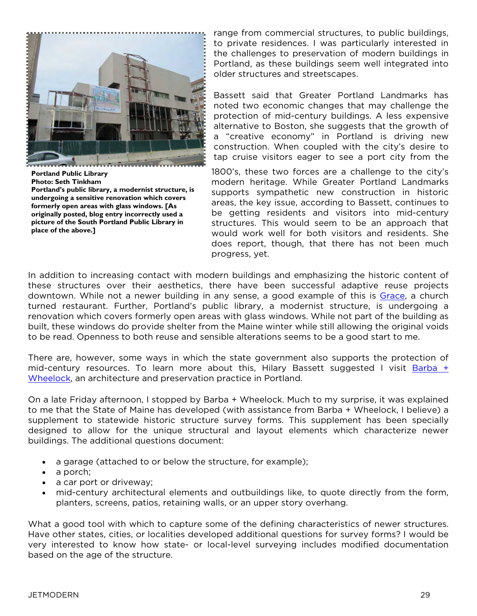

**Portland Public Library Photo: Seth Tinkham Portland's public library, a modernist structure, is undergoing a sensitive renovation which covers formerly open areas with glass windows. [As originally posted, blog entry incorrectly used a picture of the South Portland Public Library in place of the above.]**

range from commercial structures, to public buildings, to private residences. I was particularly interested in the challenges to preservation of modern buildings in Portland, as these buildings seem well integrated into older structures and streetscapes.

Bassett said that Greater Portland Landmarks has noted two economic changes that may challenge the protection of mid-century buildings. A less expensive alternative to Boston, she suggests that the growth of a "creative economy" in Portland is driving new construction. When coupled with the city's desire to tap cruise visitors eager to see a port city from the

1800's, these two forces are a challenge to the city's modern heritage. While Greater Portland Landmarks supports sympathetic new construction in historic areas, the key issue, according to Bassett, continues to be getting residents and visitors into mid-century structures. This would seem to be an approach that would work well for both visitors and residents. She does report, though, that there has not been much progress, yet.

In addition to increasing contact with modern buildings and emphasizing the historic content of these structures over their aesthetics, there have been successful adaptive reuse projects downtown. While not a newer building in any sense, a good example of this is [Grace](http://www.restaurantgrace.com/), a church turned restaurant. Further, Portland's public library, a modernist structure, is undergoing a renovation which covers formerly open areas with glass windows. While not part of the building as built, these windows do provide shelter from the Maine winter while still allowing the original voids to be read. Openness to both reuse and sensible alterations seems to be a good start to me.

There are, however, some ways in which the state government also supports the protection of mid-century resources. To learn more about this, Hilary Bassett suggested I visit [Barba +](http://www.barbawheelock.com/)  [Wheelock,](http://www.barbawheelock.com/) an architecture and preservation practice in Portland.

On a late Friday afternoon, I stopped by Barba + Wheelock. Much to my surprise, it was explained to me that the State of Maine has developed (with assistance from Barba + Wheelock, I believe) a supplement to statewide historic structure survey forms. This supplement has been specially designed to allow for the unique structural and layout elements which characterize newer buildings. The additional questions document:

- a garage (attached to or below the structure, for example);
- a porch;
- a car port or driveway;
- mid-century architectural elements and outbuildings like, to quote directly from the form, planters, screens, patios, retaining walls, or an upper story overhang.

What a good tool with which to capture some of the defining characteristics of newer structures. Have other states, cities, or localities developed additional questions for survey forms? I would be very interested to know how state- or local-level surveying includes modified documentation based on the age of the structure.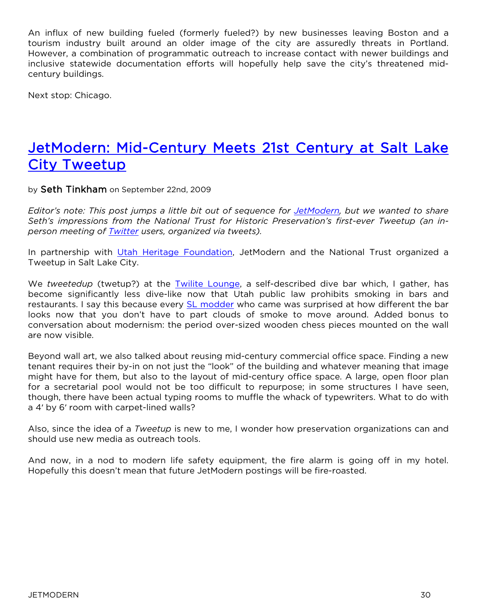An influx of new building fueled (formerly fueled?) by new businesses leaving Boston and a tourism industry built around an older image of the city are assuredly threats in Portland. However, a combination of programmatic outreach to increase contact with newer buildings and inclusive statewide documentation efforts will hopefully help save the city's threatened midcentury buildings.

Next stop: Chicago.

## JetModern: Mid-[Century Meets 21st Century at Salt Lake](http://blogs.nationaltrust.org/preservationnation/?p=6189)  [City Tweetup](http://blogs.nationaltrust.org/preservationnation/?p=6189)

by Seth Tinkham on September 22nd, 2009

*Editor's note: This post jumps a little bit out of sequence for [JetModern,](http://www.preservationnation.org/issues/modernism-recent-past/jetmodern.html) but we wanted to share Seth's impressions from the National Trust for Historic Preservation's first-ever Tweetup (an inperson meeting of [Twitter](http://twitter.com/) users, organized via tweets).*

In partnership with [Utah Heritage Found](http://www.utahheritagefoundation.com/)ation, JetModern and the National Trust organized a Tweetup in Salt Lake City.

We *tweetedup* (twetup?) at the [Twilite Lounge,](http://www.twilitelounge.com/) a self-described dive bar which, I gather, has become significantly less dive-like now that Utah public law prohibits smoking in bars and restaurants. I say this because every [SL modder](http://www.utahheritagefoundation.com/saving-places/modrecent) who came was surprised at how different the bar looks now that you don't have to part clouds of smoke to move around. Added bonus to conversation about modernism: the period over-sized wooden chess pieces mounted on the wall are now visible.

Beyond wall art, we also talked about reusing mid-century commercial office space. Finding a new tenant requires their by-in on not just the "look" of the building and whatever meaning that image might have for them, but also to the layout of mid-century office space. A large, open floor plan for a secretarial pool would not be too difficult to repurpose; in some structures I have seen, though, there have been actual typing rooms to muffle the whack of typewriters. What to do with a 4′ by 6′ room with carpet-lined walls?

Also, since the idea of a *Tweetup* is new to me, I wonder how preservation organizations can and should use new media as outreach tools.

And now, in a nod to modern life safety equipment, the fire alarm is going off in my hotel. Hopefully this doesn't mean that future JetModern postings will be fire-roasted.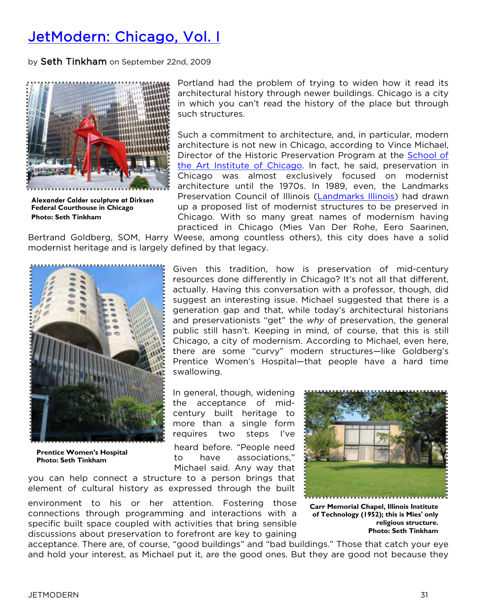## [JetModern: Chicago, Vol. I](http://blogs.nationaltrust.org/preservationnation/?p=6128)

by Seth Tinkham on September 22nd, 2009



**Alexander Calder sculpture at Dirksen Federal Courthouse in Chicago Photo: Seth Tinkham**

Portland had the problem of trying to widen how it read its architectural history through newer buildings. Chicago is a city in which you can't read the history of the place but through such structures.

Such a commitment to architecture, and, in particular, modern architecture is not new in Chicago, according to Vince Michael, Director of the Historic Preservation Program at the [School of](http://www.saic.edu/degrees_resources/departments/hist/index.html)  [the Art Institute of Chicago.](http://www.saic.edu/degrees_resources/departments/hist/index.html) In fact, he said, preservation in Chicago was almost exclusively focused on modernist architecture until the 1970s. In 1989, even, the Landmarks Preservation Council of Illinois [\(Landmarks Illinois\)](http://www.landmarks.org/) had drawn up a proposed list of modernist structures to be preserved in Chicago. With so many great names of modernism having practiced in Chicago (Mies Van Der Rohe, Eero Saarinen,

Bertrand Goldberg, SOM, Harry Weese, among countless others), this city does have a solid modernist heritage and is largely defined by that legacy.



**Prentice Women's Hospital Photo: Seth Tinkham**

Given this tradition, how is preservation of mid-century resources done differently in Chicago? It's not all that different, actually. Having this conversation with a professor, though, did suggest an interesting issue. Michael suggested that there is a generation gap and that, while today's architectural historians and preservationists "get" the *why* of preservation, the general public still hasn't. Keeping in mind, of course, that this is still Chicago, a city of modernism. According to Michael, even here, there are some "curvy" modern structures—like Goldberg's Prentice Women's Hospital—that people have a hard time swallowing.

In general, though, widening the acceptance of midcentury built heritage to more than a single form requires two steps I've

heard before. "People need to have associations," Michael said. Any way that

you can help connect a structure to a person brings that element of cultural history as expressed through the built

environment to his or her attention. Fostering those connections through programming and interactions with a specific built space coupled with activities that bring sensible discussions about preservation to forefront are key to gaining



**Carr Memorial Chapel, Illinois Institute of Technology (1952); this is Mies' only religious structure. Photo: Seth Tinkham**

acceptance. There are, of course, "good buildings" and "bad buildings." Those that catch your eye and hold your interest, as Michael put it, are the good ones. But they are good not because they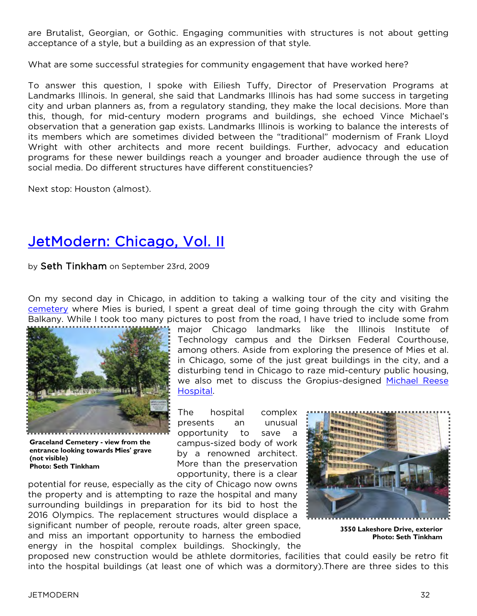are Brutalist, Georgian, or Gothic. Engaging communities with structures is not about getting acceptance of a style, but a building as an expression of that style.

What are some successful strategies for community engagement that have worked here?

To answer this question, I spoke with Eiliesh Tuffy, Director of Preservation Programs at Landmarks Illinois. In general, she said that Landmarks Illinois has had some success in targeting city and urban planners as, from a regulatory standing, they make the local decisions. More than this, though, for mid-century modern programs and buildings, she echoed Vince Michael's observation that a generation gap exists. Landmarks Illinois is working to balance the interests of its members which are sometimes divided between the "traditional" modernism of Frank Lloyd Wright with other architects and more recent buildings. Further, advocacy and education programs for these newer buildings reach a younger and broader audience through the use of social media. Do different structures have different constituencies?

Next stop: Houston (almost).

## Jet[Modern: Chicago, Vol. II](http://blogs.nationaltrust.org/preservationnation/?p=6131)

by Seth Tinkham on September 23rd, 2009

On my second day in Chicago, in addition to taking a walking tour of the city and visiting the [cemetery](http://www.gracelandcemetery.org/pages/architects.html) where Mies is buried, I spent a great deal of time going through the city with Grahm Balkany. While I took too many pictures to post from the road, I have tried to include some from



**Graceland Cemetery - view from the entrance looking towards Mies' grave (not visible) Photo: Seth Tinkham**

major Chicago landmarks like the Illinois Institute of Technology campus and the Dirksen Federal Courthouse, among others. Aside from exploring the presence of Mies et al. in Chicago, some of the just great buildings in the city, and a disturbing tend in Chicago to raze mid-century public housing, we also met to discuss the Gropius-designed [Michael Reese](http://www.michaelreesehospital.com/)  **[Hospital](http://www.michaelreesehospital.com/)** 

The hospital complex presents an unusual opportunity to save a campus-sized body of work by a renowned architect. More than the preservation opportunity, there is a clear

potential for reuse, especially as the city of Chicago now owns the property and is attempting to raze the hospital and many surrounding buildings in preparation for its bid to host the 2016 Olympics. The replacement structures would displace a significant number of people, reroute roads, alter green space, and miss an important opportunity to harness the embodied energy in the hospital complex buildings. Shockingly, the



**3550 Lakeshore Drive, exterior Photo: Seth Tinkham**

proposed new construction would be athlete dormitories, facilities that could easily be retro fit into the hospital buildings (at least one of which was a dormitory).There are three sides to this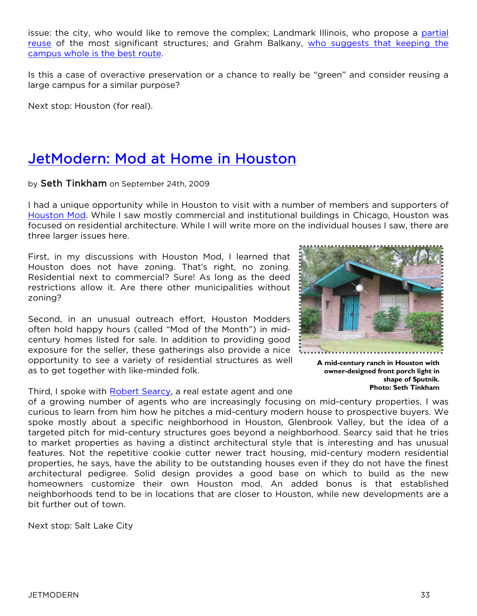issue: the city, who would like to remove the complex; Landmark Illinois, who propose a [partial](http://www.landmarks.org/preservation_news_2016_plan.htm)  [reuse](http://www.landmarks.org/preservation_news_2016_plan.htm) of the most significant structures; and Grahm Balkany, [who suggests that keeping the](http://www.savemrh.com/)  [campus whole is the best route](http://www.savemrh.com/).

Is this a case of overactive preservation or a chance to really be "green" and consider reusing a large campus for a similar purpose?

Next stop: Houston (for real).

## [JetModern: Mod at Home in Houston](http://blogs.nationaltrust.org/preservationnation/?p=6133)

by Seth Tinkham on September 24th, 2009

I had a unique opportunity while in Houston to visit with a number of members and supporters of [Houston Mod.](http://www.houstonmod.org/) While I saw mostly commercial and institutional buildings in Chicago, Houston was focused on residential architecture. While I will write more on the individual houses I saw, there are three larger issues here.

First, in my discussions with Houston Mod, I learned that Houston does not have zoning. That's right, no zoning. Residential next to commercial? Sure! As long as the deed restrictions allow it. Are there other municipalities without zoning?

Second, in an unusual outreach effort, Houston Modders often hold happy hours (called "Mod of the Month") in midcentury homes listed for sale. In addition to providing good exposure for the seller, these gatherings also provide a nice opportunity to see a variety of residential structures as well as to get together with like-minded folk.

Third, I spoke with [Robert Searcy](http://www.glenbrookvalley.com/), a real estate agent and one

of a growing number of agents who are increasingly focusing on mid-century properties. I was curious to learn from him how he pitches a mid-century modern house to prospective buyers. We spoke mostly about a specific neighborhood in Houston, Glenbrook Valley, but the idea of a targeted pitch for mid-century structures goes beyond a neighborhood. Searcy said that he tries to market properties as having a distinct architectural style that is interesting and has unusual features. Not the repetitive cookie cutter newer tract housing, mid-century modern residential properties, he says, have the ability to be outstanding houses even if they do not have the finest architectural pedigree. Solid design provides a good base on which to build as the new homeowners customize their own Houston mod. An added bonus is that established neighborhoods tend to be in locations that are closer to Houston, while new developments are a bit further out of town.

Next stop: Salt Lake City



**owner-designed front porch light in shape of Sputnik. Photo: Seth Tinkham**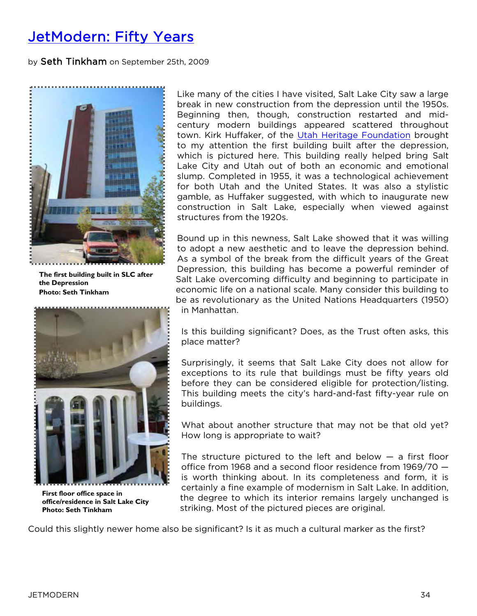## [JetModern: Fifty Years](http://blogs.nationaltrust.org/preservationnation/?p=6318)

by Seth Tinkham on September 25th, 2009



**The first building built in SLC after the Depression Photo: Seth Tinkham**



**First floor office space in office/residence in Salt Lake City Photo: Seth Tinkham**

Like many of the cities I have visited, Salt Lake City saw a large break in new construction from the depression until the 1950s. Beginning then, though, construction restarted and midcentury modern buildings appeared scattered throughout town. Kirk Huffaker, of the [Utah Heritage Foundation](http://www.utahheritagefoundation.com/) brought to my attention the first building built after the depression, which is pictured here. This building really helped bring Salt Lake City and Utah out of both an economic and emotional slump. Completed in 1955, it was a technological achievement for both Utah and the United States. It was also a stylistic gamble, as Huffaker suggested, with which to inaugurate new construction in Salt Lake, especially when viewed against structures from the 1920s.

Bound up in this newness, Salt Lake showed that it was willing to adopt a new aesthetic and to leave the depression behind. As a symbol of the break from the difficult years of the Great Depression, this building has become a powerful reminder of Salt Lake overcoming difficulty and beginning to participate in economic life on a national scale. Many consider this building to be as revolutionary as the United Nations Headquarters (1950) in Manhattan.

Is this building significant? Does, as the Trust often asks, this place matter?

Surprisingly, it seems that Salt Lake City does not allow for exceptions to its rule that buildings must be fifty years old before they can be considered eligible for protection/listing. This building meets the city's hard-and-fast fifty-year rule on buildings.

What about another structure that may not be that old yet? How long is appropriate to wait?

The structure pictured to the left and below  $-$  a first floor office from 1968 and a second floor residence from 1969/70 is worth thinking about. In its completeness and form, it is certainly a fine example of modernism in Salt Lake. In addition, the degree to which its interior remains largely unchanged is striking. Most of the pictured pieces are original.

Could this slightly newer home also be significant? Is it as much a cultural marker as the first?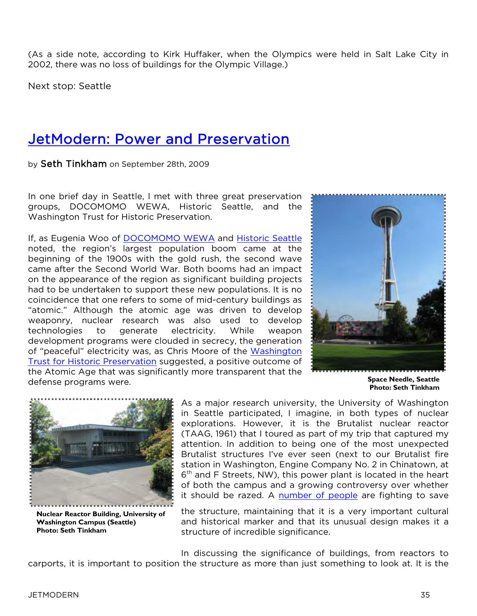(As a side note, according to Kirk Huffaker, when the Olympics were held in Salt Lake City in 2002, there was no loss of buildings for the Olympic Village.)

Next stop: Seattle

## [JetModern: Power and Preservation](http://blogs.nationaltrust.org/preservationnation/?p=6381)

by Seth Tinkham on September 28th, 2009

In one brief day in Seattle, I met with three great preservation groups, DOCOMOMO WEWA, Historic Seattle, and the Washington Trust for Historic Preservation.

If, as Eugenia Woo of [DOCOMOMO WEWA](http://www.docomomo-wewa.org/) and [Historic Seattle](http://www.historicseattle.org/) noted, the region's largest population boom came at the beginning of the 1900s with the gold rush, the second wave came after the Second World War. Both booms had an impact on the appearance of the region as significant building projects had to be undertaken to support these new populations. It is no coincidence that one refers to some of mid-century buildings as "atomic." Although the atomic age was driven to develop weaponry, nuclear research was also used to develop technologies to generate electricity. While weapon development programs were clouded in secrecy, the generation of "peaceful" electricity was, as Chris Moore of the [Washington](http://www.wa-trust.org/)  [Trust for Historic Preservation](http://www.wa-trust.org/) suggested, a positive outcome of the Atomic Age that was significantly more transparent that the defense programs were.



**Space Needle, Seattle Photo: Seth Tinkham**



**Nuclear Reactor Building, University of Washington Campus (Seattle) Photo: Seth Tinkham**

As a major research university, the University of Washington in Seattle participated, I imagine, in both types of nuclear explorations. However, it is the Brutalist nuclear reactor (TAAG, 1961) that I toured as part of my trip that captured my attention. In addition to being one of the most unexpected Brutalist structures I've ever seen (next to our Brutalist fire station in Washington, Engine Company No. 2 in Chinatown, at 6<sup>th</sup> and F Streets, NW), this power plant is located in the heart of both the campus and a growing controversy over whether it should be razed. A [number of people](http://nuclearreactorbuilding.blogspot.com/) are fighting to save

the structure, maintaining that it is a very important cultural and historical marker and that its unusual design makes it a structure of incredible significance.

In discussing the significance of buildings, from reactors to carports, it is important to position the structure as more than just something to look at. It is the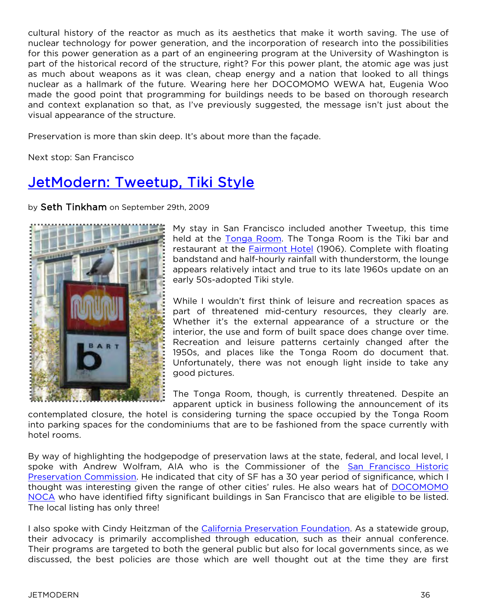cultural history of the reactor as much as its aesthetics that make it worth saving. The use of nuclear technology for power generation, and the incorporation of research into the possibilities for this power generation as a part of an engineering program at the University of Washington is part of the historical record of the structure, right? For this power plant, the atomic age was just as much about weapons as it was clean, cheap energy and a nation that looked to all things nuclear as a hallmark of the future. Wearing here her DOCOMOMO WEWA hat, Eugenia Woo made the good point that programming for buildings needs to be based on thorough research and context explanation so that, as I've previously suggested, the message isn't just about the visual appearance of the structure.

Preservation is more than skin deep. It's about more than the façade.

Next stop: San Francisco

## [JetModern: Tweetup, Tiki Style](http://blogs.nationaltrust.org/preservationnation/?p=6435)

by Seth Tinkham on September 29th, 2009



My stay in San Francisco included another Tweetup, this time held at the [Tonga Room.](https://www.fairmont.com/sanfrancisco/articles/recentnews/thetongaroom.htm) The Tonga Room is the Tiki bar and restaurant at the [Fairmont Hotel](http://www.fairmont.com/sanfrancisco) (1906). Complete with floating bandstand and half-hourly rainfall with thunderstorm, the lounge appears relatively intact and true to its late 1960s update on an early 50s-adopted Tiki style.

While I wouldn't first think of leisure and recreation spaces as part of threatened mid-century resources, they clearly are. Whether it's the external appearance of a structure or the interior, the use and form of built space does change over time. Recreation and leisure patterns certainly changed after the 1950s, and places like the Tonga Room do document that. Unfortunately, there was not enough light inside to take any good pictures.

The Tonga Room, though, is currently threatened. Despite an apparent uptick in business following the announcement of its

contemplated closure, the hotel is considering turning the space occupied by the Tonga Room into parking spaces for the condominiums that are to be fashioned from the space currently with hotel rooms.

By way of highlighting the hodgepodge of preservation laws at the state, federal, and local level, I spoke with Andrew Wolfram, AIA who is the Commissioner of the [San Francisco Historic](http://www.sfgov.org/site/planning_index.asp)  [Preservation Commission.](http://www.sfgov.org/site/planning_index.asp) He indicated that city of SF has a 30 year period of significance, which I thought was interesting given the range of other cities' rules. He also wears hat of [DOCOMOMO](http://www.docomomo-us.org/chapters/northern_california)  [NOCA](http://www.docomomo-us.org/chapters/northern_california) who have identified fifty significant buildings in San Francisco that are eligible to be listed. The local listing has only three!

I also spoke with Cindy Heitzman of the [California Preservation Foundation.](http://www.californiapreservation.org/) As a statewide group, their advocacy is primarily accomplished through education, such as their annual conference. Their programs are targeted to both the general public but also for local governments since, as we discussed, the best policies are those which are well thought out at the time they are first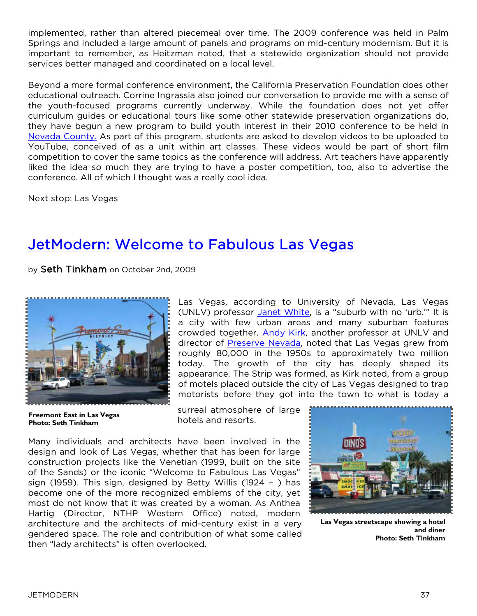implemented, rather than altered piecemeal over time. The 2009 conference was held in Palm Springs and included a large amount of panels and programs on mid-century modernism. But it is important to remember, as Heitzman noted, that a statewide organization should not provide services better managed and coordinated on a local level.

Beyond a more formal conference environment, the California Preservation Foundation does other educational outreach. Corrine Ingrassia also joined our conversation to provide me with a sense of the youth-focused programs currently underway. While the foundation does not yet offer curriculum guides or educational tours like some other statewide preservation organizations do, they have begun a new program to build youth interest in their 2010 conference to be held in [Nevada County.](http://www.mynevadacounty.com/Home/Index.cfm) As part of this program, students are asked to develop videos to be uploaded to YouTube, conceived of as a unit within art classes. These videos would be part of short film competition to cover the same topics as the conference will address. Art teachers have apparently liked the idea so much they are trying to have a poster competition, too, also to advertise the conference. All of which I thought was a really cool idea.

Next stop: Las Vegas

## [JetModern: Welcome to Fabulous Las Vegas](http://blogs.nationaltrust.org/preservationnation/?p=6517)

by Seth Tinkham on October 2nd, 2009



**Freemont East in Las Vegas Photo: Seth Tinkham**

Las Vegas, according to University of Nevada, Las Vegas (UNLV) professor [Janet White](http://faculty.unlv.edu/jwhite/), is a "suburb with no 'urb."" It is a city with few urban areas and many suburban features crowded together. [Andy Kirk,](http://history.unlv.edu/faculty/kirk.html) another professor at UNLV and director of [Preserve Nevada,](http://preservenevada.unlv.edu/) noted that Las Vegas grew from roughly 80,000 in the 1950s to approximately two million today. The growth of the city has deeply shaped its appearance. The Strip was formed, as Kirk noted, from a group of motels placed outside the city of Las Vegas designed to trap motorists before they got into the town to what is today a

surreal atmosphere of large hotels and resorts.

Many individuals and architects have been involved in the design and look of Las Vegas, whether that has been for large construction projects like the Venetian (1999, built on the site of the Sands) or the iconic "Welcome to Fabulous Las Vegas" sign (1959). This sign, designed by Betty Willis (1924 – ) has become one of the more recognized emblems of the city, yet most do not know that it was created by a woman. As Anthea Hartig (Director, NTHP Western Office) noted, modern architecture and the architects of mid-century exist in a very gendered space. The role and contribution of what some called then "lady architects" is often overlooked.



**Las Vegas streetscape showing a hotel and diner Photo: Seth Tinkham**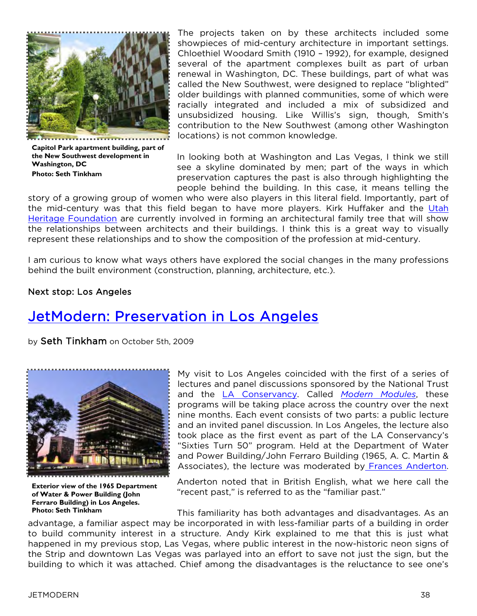

**Capitol Park apartment building, part of the New Southwest development in Washington, DC Photo: Seth Tinkham**

The projects taken on by these architects included some showpieces of mid-century architecture in important settings. Chloethiel Woodard Smith (1910 – 1992), for example, designed several of the apartment complexes built as part of urban renewal in Washington, DC. These buildings, part of what was called the New Southwest, were designed to replace "blighted" older buildings with planned communities, some of which were racially integrated and included a mix of subsidized and unsubsidized housing. Like Willis's sign, though, Smith's contribution to the New Southwest (among other Washington locations) is not common knowledge.

In looking both at Washington and Las Vegas, I think we still see a skyline dominated by men; part of the ways in which preservation captures the past is also through highlighting the people behind the building. In this case, it means telling the

story of a growing group of women who were also players in this literal field. Importantly, part of the mid-century was that this field began to have more players. Kirk Huffaker and the [Utah](http://www.utahheritagefoundation.com/)  [Heritage Foundation](http://www.utahheritagefoundation.com/) are currently involved in forming an architectural family tree that will show the relationships between architects and their buildings. I think this is a great way to visually represent these relationships and to show the composition of the profession at mid-century.

I am curious to know what ways others have explored the social changes in the many professions behind the built environment (construction, planning, architecture, etc.).

#### Next stop: Los Angeles

## [JetModern: Preservation in Los Angeles](http://blogs.nationaltrust.org/preservationnation/?p=6543)

by Seth Tinkham on October 5th, 2009



**Exterior view of the 1965 Department of Water & Power Building (John Ferraro Building) in Los Angeles. Photo: Seth Tinkham**

My visit to Los Angeles coincided with the first of a series of lectures and panel discussions sponsored by the National Trust and the [LA Conservancy.](http://www.laconservancy.org/) Called *[Modern Modules](http://www.preservationnation.org/about-us/press-center/press-releases/2009/modules-la.html)*, these programs will be taking place across the country over the next nine months. Each event consists of two parts: a public lecture and an invited panel discussion. In Los Angeles, the lecture also took place as the first event as part of the LA Conservancy's "Sixties Turn 50" program. Held at the Department of Water and Power Building/John Ferraro Building (1965, A. C. Martin & Associates), the lecture was moderated by [Frances Anderton](http://www.kcrw.com/people/etc/programs/de/anderton_frances?role=etc_host).

Anderton noted that in British English, what we here call the "recent past," is referred to as the "familiar past."

This familiarity has both advantages and disadvantages. As an advantage, a familiar aspect may be incorporated in with less-familiar parts of a building in order to build community interest in a structure. Andy Kirk explained to me that this is just what happened in my previous stop, Las Vegas, where public interest in the now-historic neon signs of the Strip and downtown Las Vegas was parlayed into an effort to save not just the sign, but the building to which it was attached. Chief among the disadvantages is the reluctance to see one's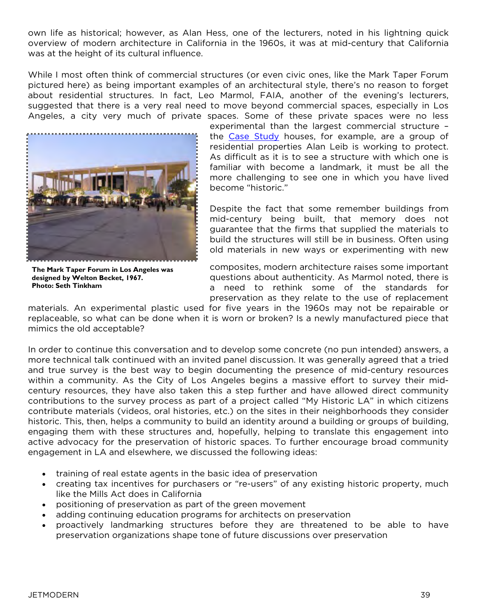own life as historical; however, as Alan Hess, one of the lecturers, noted in his lightning quick overview of modern architecture in California in the 1960s, it was at mid-century that California was at the height of its cultural influence.

While I most often think of commercial structures (or even civic ones, like the Mark Taper Forum pictured here) as being important examples of an architectural style, there's no reason to forget about residential structures. In fact, Leo Marmol, FAIA, another of the evening's lecturers, suggested that there is a very real need to move beyond commercial spaces, especially in Los Angeles, a city very much of private spaces. Some of these private spaces were no less



**The Mark Taper Forum in Los Angeles was designed by Welton Becket, 1967. Photo: Seth Tinkham**

experimental than the largest commercial structure – the [Case Study](http://www.artsandarchitecturemag.com/case.houses/index.html) houses, for example, are a group of residential properties Alan Leib is working to protect. As difficult as it is to see a structure with which one is familiar with become a landmark, it must be all the more challenging to see one in which you have lived become "historic."

Despite the fact that some remember buildings from mid-century being built, that memory does not guarantee that the firms that supplied the materials to build the structures will still be in business. Often using old materials in new ways or experimenting with new

composites, modern architecture raises some important questions about authenticity. As Marmol noted, there is a need to rethink some of the standards for preservation as they relate to the use of replacement

materials. An experimental plastic used for five years in the 1960s may not be repairable or replaceable, so what can be done when it is worn or broken? Is a newly manufactured piece that mimics the old acceptable?

In order to continue this conversation and to develop some concrete (no pun intended) answers, a more technical talk continued with an invited panel discussion. It was generally agreed that a tried and true survey is the best way to begin documenting the presence of mid-century resources within a community. As the City of Los Angeles begins a massive effort to survey their midcentury resources, they have also taken this a step further and have allowed direct community contributions to the survey process as part of a project called "My Historic LA" in which citizens contribute materials (videos, oral histories, etc.) on the sites in their neighborhoods they consider historic. This, then, helps a community to build an identity around a building or groups of building, engaging them with these structures and, hopefully, helping to translate this engagement into active advocacy for the preservation of historic spaces. To further encourage broad community engagement in LA and elsewhere, we discussed the following ideas:

- training of real estate agents in the basic idea of preservation
- creating tax incentives for purchasers or "re-users" of any existing historic property, much like the Mills Act does in California
- positioning of preservation as part of the green movement
- adding continuing education programs for architects on preservation
- proactively landmarking structures before they are threatened to be able to have preservation organizations shape tone of future discussions over preservation